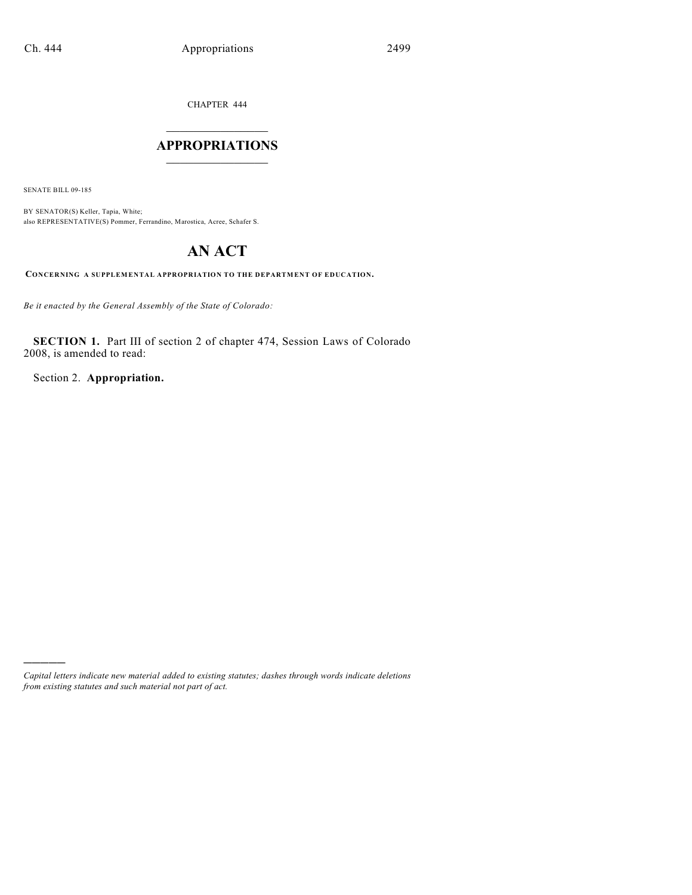CHAPTER 444

## $\overline{\phantom{a}}$  . The set of the set of the set of the set of the set of the set of the set of the set of the set of the set of the set of the set of the set of the set of the set of the set of the set of the set of the set o **APPROPRIATIONS**  $\_$   $\_$   $\_$   $\_$   $\_$   $\_$   $\_$   $\_$

SENATE BILL 09-185

)))))

BY SENATOR(S) Keller, Tapia, White; also REPRESENTATIVE(S) Pommer, Ferrandino, Marostica, Acree, Schafer S.

# **AN ACT**

**CONCERNING A SUPPLEMENTAL APPROPRIATION TO THE DEPARTMENT OF EDUCATION.**

*Be it enacted by the General Assembly of the State of Colorado:*

**SECTION 1.** Part III of section 2 of chapter 474, Session Laws of Colorado 2008, is amended to read:

Section 2. **Appropriation.**

*Capital letters indicate new material added to existing statutes; dashes through words indicate deletions from existing statutes and such material not part of act.*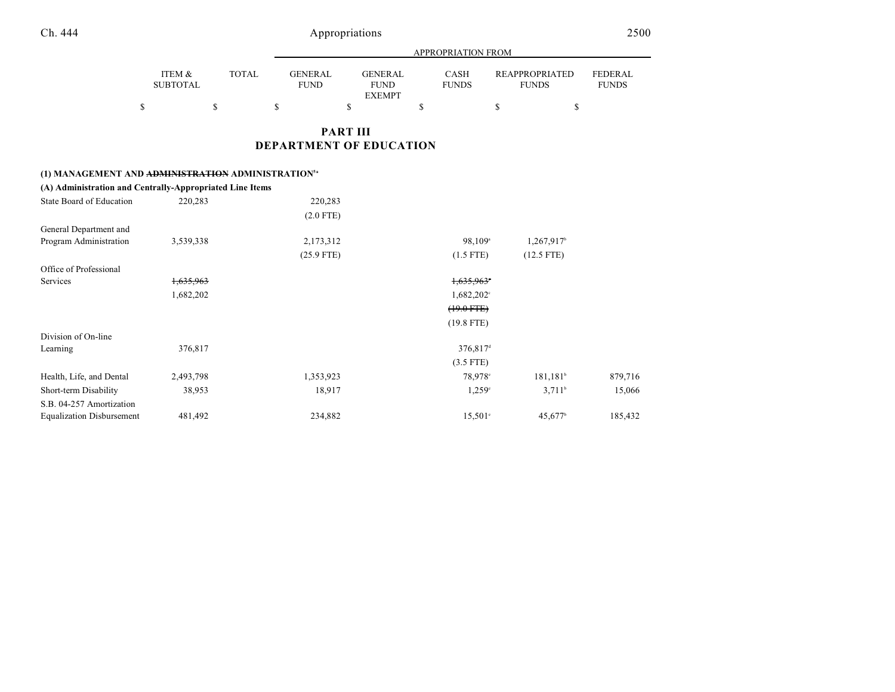|  |  | u<br>∼ |
|--|--|--------|
|  |  |        |

|                                      |       |                               | APPROPRIATION FROM                             |                      |                                       |                                |  |  |  |  |
|--------------------------------------|-------|-------------------------------|------------------------------------------------|----------------------|---------------------------------------|--------------------------------|--|--|--|--|
| <b>ITEM &amp;</b><br><b>SUBTOTAL</b> | TOTAL | <b>GENERAL</b><br><b>FUND</b> | <b>GENERAL</b><br><b>FUND</b><br><b>EXEMPT</b> | CASH<br><b>FUNDS</b> | <b>REAPPROPRIATED</b><br><b>FUNDS</b> | <b>FEDERAL</b><br><b>FUNDS</b> |  |  |  |  |
| Φ                                    |       |                               |                                                |                      |                                       |                                |  |  |  |  |

### **PART III DEPARTMENT OF EDUCATION**

#### **(1) MANAGEMENT AND ADMINISTRATION ADMINISTRATION5a**

| (A) Administration and Centrally-Appropriated Line Items |           |              |                      |                       |         |
|----------------------------------------------------------|-----------|--------------|----------------------|-----------------------|---------|
| State Board of Education                                 | 220,283   | 220,283      |                      |                       |         |
|                                                          |           | $(2.0$ FTE)  |                      |                       |         |
| General Department and                                   |           |              |                      |                       |         |
| Program Administration                                   | 3,539,338 | 2,173,312    | 98,109 <sup>a</sup>  | 1,267,917             |         |
|                                                          |           | $(25.9$ FTE) | $(1.5$ FTE)          | $(12.5$ FTE)          |         |
| Office of Professional                                   |           |              |                      |                       |         |
| Services                                                 | 1,635,963 |              | 1,635,963            |                       |         |
|                                                          | 1,682,202 |              | $1,682,202^{\circ}$  |                       |         |
|                                                          |           |              | $(19.0$ FTE $)$      |                       |         |
|                                                          |           |              | $(19.8$ FTE)         |                       |         |
| Division of On-line                                      |           |              |                      |                       |         |
| Learning                                                 | 376,817   |              | 376,817 <sup>d</sup> |                       |         |
|                                                          |           |              | $(3.5$ FTE)          |                       |         |
| Health, Life, and Dental                                 | 2,493,798 | 1,353,923    | 78,978°              | $181,181^{\circ}$     | 879,716 |
| Short-term Disability                                    | 38,953    | 18,917       | $1,259^{\circ}$      | 3.711 <sup>b</sup>    | 15,066  |
| S.B. 04-257 Amortization                                 |           |              |                      |                       |         |
| <b>Equalization Disbursement</b>                         | 481,492   | 234,882      | $15,501^{\circ}$     | $45,677$ <sup>b</sup> | 185,432 |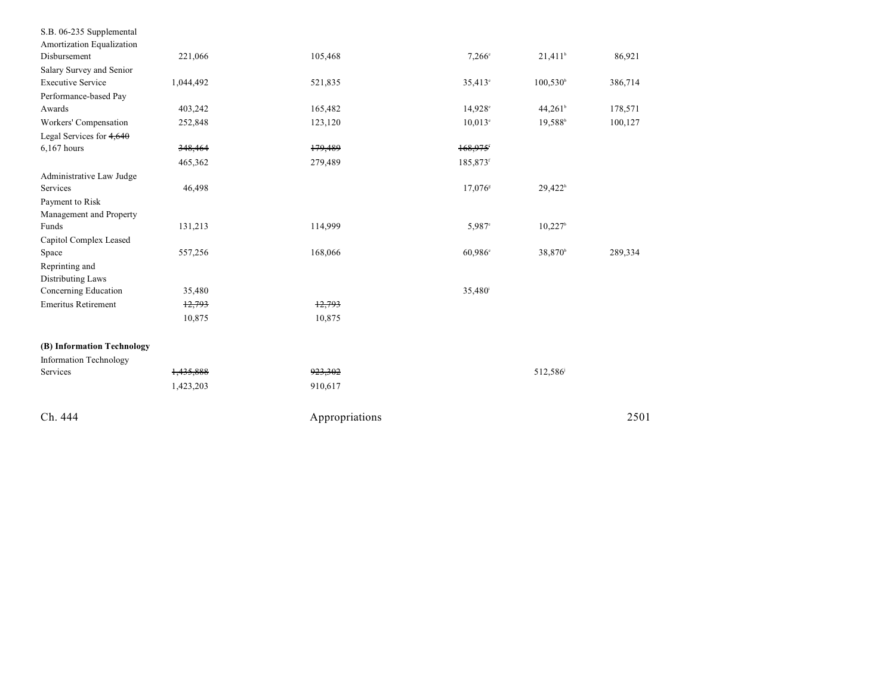| S.B. 06-235 Supplemental      |           |                |                       |                       |         |
|-------------------------------|-----------|----------------|-----------------------|-----------------------|---------|
| Amortization Equalization     |           |                |                       |                       |         |
| Disbursement                  | 221,066   | 105,468        | $7,266^{\circ}$       | $21,411$ <sup>b</sup> | 86,921  |
| Salary Survey and Senior      |           |                |                       |                       |         |
| <b>Executive Service</b>      | 1,044,492 | 521,835        | $35,413^{\circ}$      | $100,530^{\circ}$     | 386,714 |
| Performance-based Pay         |           |                |                       |                       |         |
| Awards                        | 403,242   | 165,482        | 14,928°               | $44,261$ <sup>b</sup> | 178,571 |
| Workers' Compensation         | 252,848   | 123,120        | $10,013$ °            | $19,588^{\circ}$      | 100,127 |
| Legal Services for $4,640$    |           |                |                       |                       |         |
| 6,167 hours                   | 348,464   | 179,489        | 168,975               |                       |         |
|                               | 465,362   | 279,489        | 185,873 <sup>f</sup>  |                       |         |
| Administrative Law Judge      |           |                |                       |                       |         |
| Services                      | 46,498    |                | $17,076$ <sup>s</sup> | 29,422 <sup>h</sup>   |         |
| Payment to Risk               |           |                |                       |                       |         |
| Management and Property       |           |                |                       |                       |         |
| Funds                         | 131,213   | 114,999        | 5,987 <sup>c</sup>    | $10,227$ <sup>b</sup> |         |
| Capitol Complex Leased        |           |                |                       |                       |         |
| Space                         | 557,256   | 168,066        | $60,986^\circ$        | 38,870 <sup>b</sup>   | 289,334 |
| Reprinting and                |           |                |                       |                       |         |
| <b>Distributing Laws</b>      |           |                |                       |                       |         |
| Concerning Education          | 35,480    |                | 35,480 <sup>i</sup>   |                       |         |
| <b>Emeritus Retirement</b>    | 12,793    | 12,793         |                       |                       |         |
|                               | 10,875    | 10,875         |                       |                       |         |
| (B) Information Technology    |           |                |                       |                       |         |
| <b>Information Technology</b> |           |                |                       |                       |         |
| Services                      | 1,435,888 | 923,302        |                       | 512,586               |         |
|                               | 1,423,203 | 910,617        |                       |                       |         |
| Ch. 444                       |           | Appropriations |                       |                       | 2501    |
|                               |           |                |                       |                       |         |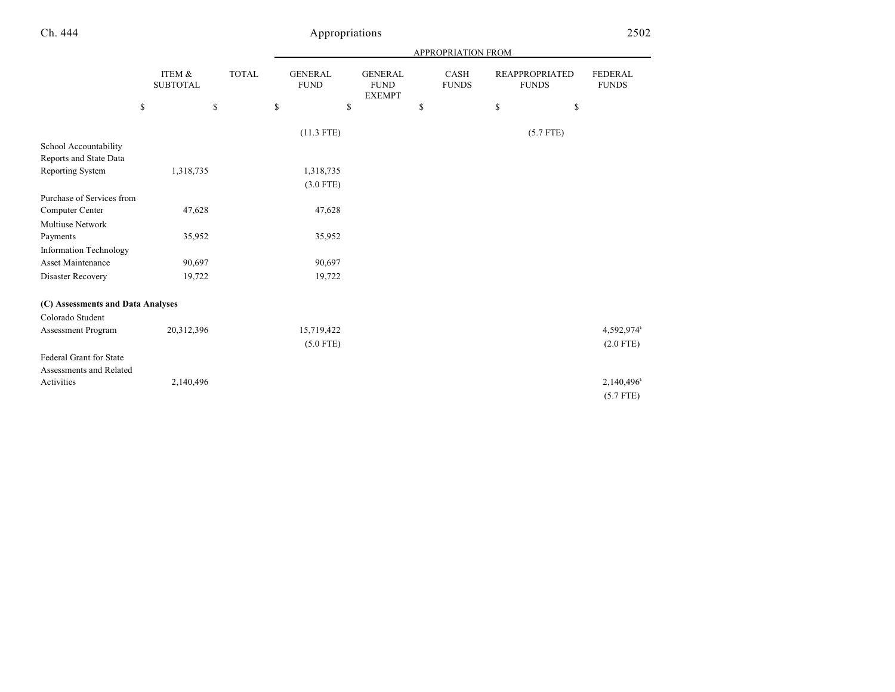## Ch. 444 Appropriations 2502

|                                                    |                           | APPROPRIATION FROM |    |                               |    |                                                |    |                      |    |                                       |                                |
|----------------------------------------------------|---------------------------|--------------------|----|-------------------------------|----|------------------------------------------------|----|----------------------|----|---------------------------------------|--------------------------------|
|                                                    | ITEM &<br><b>SUBTOTAL</b> | <b>TOTAL</b>       |    | <b>GENERAL</b><br><b>FUND</b> |    | <b>GENERAL</b><br><b>FUND</b><br><b>EXEMPT</b> |    | CASH<br><b>FUNDS</b> |    | <b>REAPPROPRIATED</b><br><b>FUNDS</b> | <b>FEDERAL</b><br><b>FUNDS</b> |
|                                                    | \$                        | \$                 | \$ |                               | \$ |                                                | \$ |                      | \$ | \$                                    |                                |
|                                                    |                           |                    |    | $(11.3$ FTE)                  |    |                                                |    |                      |    | $(5.7$ FTE)                           |                                |
| School Accountability<br>Reports and State Data    |                           |                    |    |                               |    |                                                |    |                      |    |                                       |                                |
| Reporting System                                   | 1,318,735                 |                    |    | 1,318,735                     |    |                                                |    |                      |    |                                       |                                |
|                                                    |                           |                    |    | $(3.0$ FTE)                   |    |                                                |    |                      |    |                                       |                                |
| Purchase of Services from                          |                           |                    |    |                               |    |                                                |    |                      |    |                                       |                                |
| Computer Center                                    | 47,628                    |                    |    | 47,628                        |    |                                                |    |                      |    |                                       |                                |
| <b>Multiuse Network</b>                            |                           |                    |    |                               |    |                                                |    |                      |    |                                       |                                |
| Payments                                           | 35,952                    |                    |    | 35,952                        |    |                                                |    |                      |    |                                       |                                |
| Information Technology                             |                           |                    |    |                               |    |                                                |    |                      |    |                                       |                                |
| Asset Maintenance                                  | 90,697                    |                    |    | 90,697                        |    |                                                |    |                      |    |                                       |                                |
| Disaster Recovery                                  | 19,722                    |                    |    | 19,722                        |    |                                                |    |                      |    |                                       |                                |
| (C) Assessments and Data Analyses                  |                           |                    |    |                               |    |                                                |    |                      |    |                                       |                                |
| Colorado Student                                   |                           |                    |    |                               |    |                                                |    |                      |    |                                       |                                |
| Assessment Program                                 | 20,312,396                |                    |    | 15,719,422                    |    |                                                |    |                      |    |                                       | 4,592,974                      |
|                                                    |                           |                    |    | $(5.0$ FTE)                   |    |                                                |    |                      |    |                                       | $(2.0$ FTE)                    |
| Federal Grant for State<br>Assessments and Related |                           |                    |    |                               |    |                                                |    |                      |    |                                       |                                |
| Activities                                         | 2,140,496                 |                    |    |                               |    |                                                |    |                      |    |                                       | 2,140,496                      |
|                                                    |                           |                    |    |                               |    |                                                |    |                      |    |                                       | $(5.7$ FTE)                    |

and a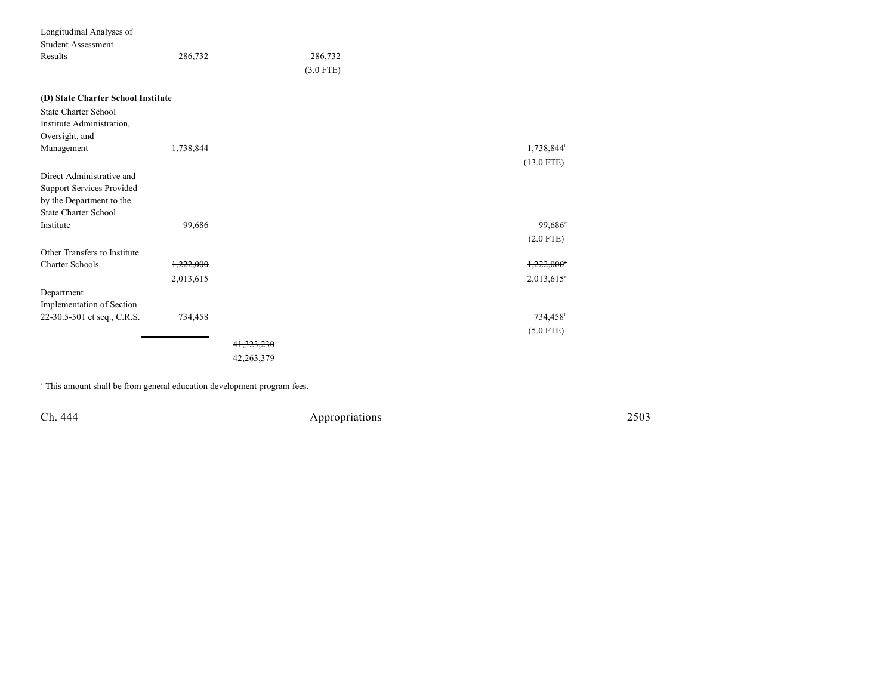| Longitudinal Analyses of           |           |            |             |                          |
|------------------------------------|-----------|------------|-------------|--------------------------|
| <b>Student Assessment</b>          |           |            |             |                          |
| Results                            | 286,732   |            | 286,732     |                          |
|                                    |           |            | $(3.0$ FTE) |                          |
| (D) State Charter School Institute |           |            |             |                          |
| <b>State Charter School</b>        |           |            |             |                          |
| Institute Administration,          |           |            |             |                          |
| Oversight, and                     |           |            |             |                          |
| Management                         | 1,738,844 |            |             | 1,738,844                |
|                                    |           |            |             | $(13.0$ FTE)             |
| Direct Administrative and          |           |            |             |                          |
| <b>Support Services Provided</b>   |           |            |             |                          |
| by the Department to the           |           |            |             |                          |
| <b>State Charter School</b>        |           |            |             |                          |
| Institute                          | 99,686    |            |             | $99,686^m$               |
|                                    |           |            |             | $(2.0$ FTE)              |
| Other Transfers to Institute       |           |            |             |                          |
| <b>Charter Schools</b>             | 1,222,000 |            |             | 1,222,000                |
|                                    | 2,013,615 |            |             | $2,013,615$ <sup>n</sup> |
| Department                         |           |            |             |                          |
| Implementation of Section          |           |            |             |                          |
| 22-30.5-501 et seq., C.R.S.        | 734,458   |            |             | 734,458                  |
|                                    |           |            |             | $(5.0$ FTE)              |
|                                    |           | 41,323,230 |             |                          |
|                                    |           | 42,263,379 |             |                          |
|                                    |           |            |             |                          |

<sup>a</sup> This amount shall be from general education development program fees.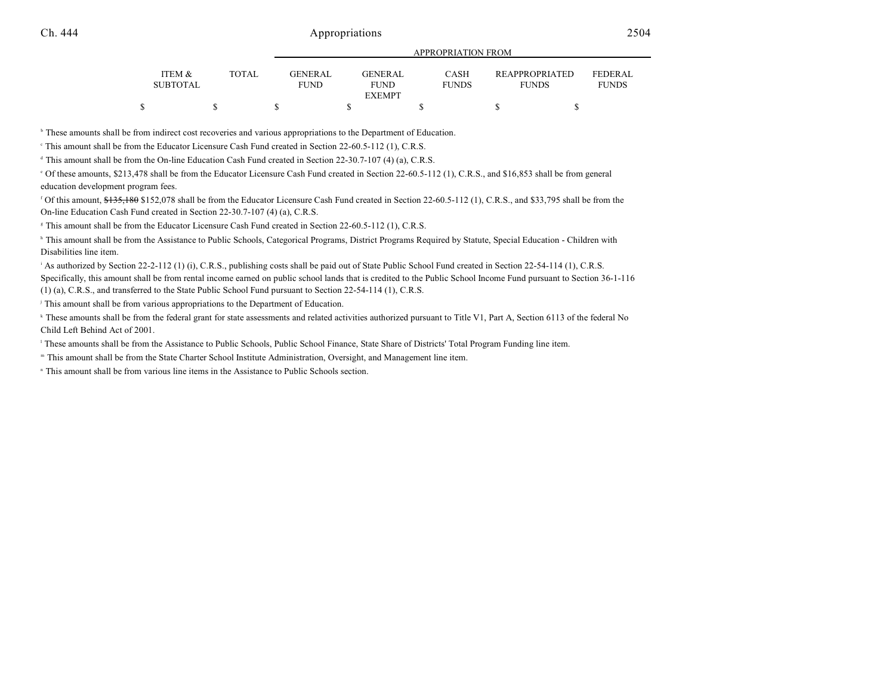|   | ITEM &          | <b>TOTAL</b> | <b>GENERAL</b> | <b>GENERAL</b> | <b>CASH</b>  | <b>REAPPROPRIATED</b> | FEDERAL      |
|---|-----------------|--------------|----------------|----------------|--------------|-----------------------|--------------|
|   | <b>SUBTOTAL</b> |              | <b>FUND</b>    | FUND           | <b>FUNDS</b> | <b>FUNDS</b>          | <b>FUNDS</b> |
|   |                 |              |                | <b>EXEMPT</b>  |              |                       |              |
| ሖ |                 |              |                |                |              |                       |              |

APPROPRIATION FROM

<sup>b</sup> These amounts shall be from indirect cost recoveries and various appropriations to the Department of Education.

This amount shall be from the Educator Licensure Cash Fund created in Section 22-60.5-112 (1), C.R.S. <sup>c</sup>

 $\alpha$ <sup>4</sup> This amount shall be from the On-line Education Cash Fund created in Section 22-30.7-107 (4) (a), C.R.S.

 Of these amounts, \$213,478 shall be from the Educator Licensure Cash Fund created in Section 22-60.5-112 (1), C.R.S., and \$16,853 shall be from general <sup>e</sup> education development program fees.

<sup>f</sup> Of this amount, \$135,180 \$152,078 shall be from the Educator Licensure Cash Fund created in Section 22-60.5-112 (1), C.R.S., and \$33,795 shall be from the On-line Education Cash Fund created in Section 22-30.7-107 (4) (a), C.R.S.

<sup>8</sup> This amount shall be from the Educator Licensure Cash Fund created in Section 22-60.5-112 (1), C.R.S.

<sup>h</sup> This amount shall be from the Assistance to Public Schools, Categorical Programs, District Programs Required by Statute, Special Education - Children with Disabilities line item.

As authorized by Section 22-2-112 (1) (i), C.R.S., publishing costs shall be paid out of State Public School Fund created in Section 22-54-114 (1), C.R.S. Specifically, this amount shall be from rental income earned on public school lands that is credited to the Public School Income Fund pursuant to Section 36-1-116 (1) (a), C.R.S., and transferred to the State Public School Fund pursuant to Section 22-54-114 (1), C.R.S.

<sup>j</sup> This amount shall be from various appropriations to the Department of Education.

<sup>k</sup> These amounts shall be from the federal grant for state assessments and related activities authorized pursuant to Title V1, Part A, Section 6113 of the federal No Child Left Behind Act of 2001.

<sup>1</sup> These amounts shall be from the Assistance to Public Schools, Public School Finance, State Share of Districts' Total Program Funding line item.

" This amount shall be from the State Charter School Institute Administration, Oversight, and Management line item.

<sup>n</sup> This amount shall be from various line items in the Assistance to Public Schools section.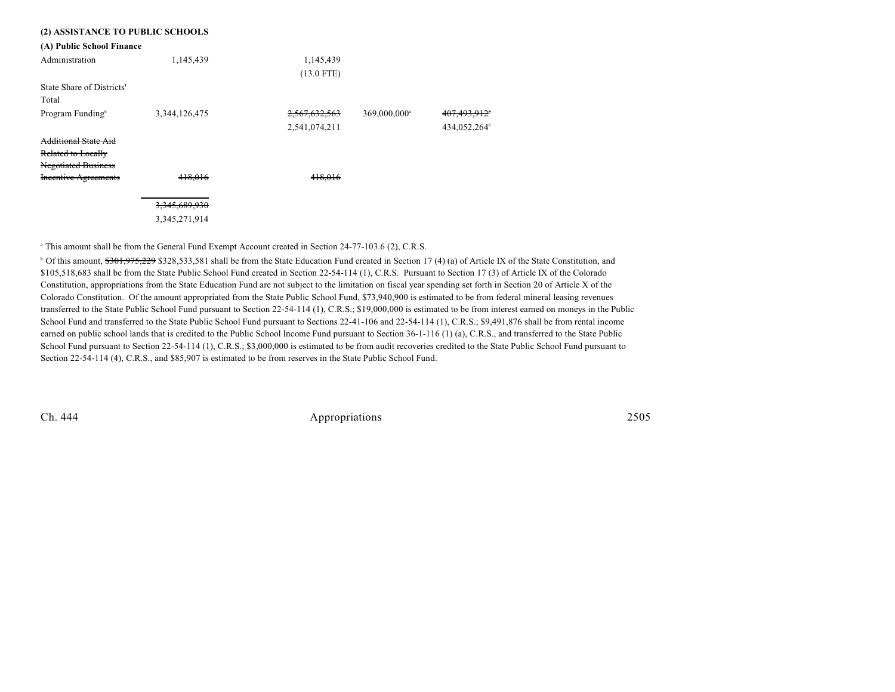| (2) ASSISTANCE TO PUBLIC SCHOOLS |               |               |                          |                          |
|----------------------------------|---------------|---------------|--------------------------|--------------------------|
| (A) Public School Finance        |               |               |                          |                          |
| Administration                   | 1,145,439     | 1,145,439     |                          |                          |
|                                  |               | $(13.0$ FTE)  |                          |                          |
| State Share of Districts'        |               |               |                          |                          |
| Total                            |               |               |                          |                          |
| Program Funding <sup>6</sup>     | 3,344,126,475 | 2,567,632,563 | 369,000,000 <sup>a</sup> | 407,493,912 <sup>+</sup> |
|                                  |               | 2,541,074,211 |                          | 434,052,264 <sup>b</sup> |
| <b>Additional State Aid</b>      |               |               |                          |                          |
| Related to Locally               |               |               |                          |                          |
| <b>Negotiated Business</b>       |               |               |                          |                          |
| <b>Incentive Agreements</b>      | 418.016       | 418,016       |                          |                          |
|                                  | 3,345,689,930 |               |                          |                          |
|                                  | 3,345,271,914 |               |                          |                          |

<sup>a</sup> This amount shall be from the General Fund Exempt Account created in Section 24-77-103.6 (2), C.R.S.

<sup>b</sup> Of this amount, \$<del>301,975,229</del> \$328,533,581 shall be from the State Education Fund created in Section 17 (4) (a) of Article IX of the State Constitution, and \$105,518,683 shall be from the State Public School Fund created in Section 22-54-114 (1), C.R.S. Pursuant to Section 17 (3) of Article IX of the Colorado Constitution, appropriations from the State Education Fund are not subject to the limitation on fiscal year spending set forth in Section 20 of Article X of the Colorado Constitution. Of the amount appropriated from the State Public School Fund, \$73,940,900 is estimated to be from federal mineral leasing revenues transferred to the State Public School Fund pursuant to Section 22-54-114 (1), C.R.S.; \$19,000,000 is estimated to be from interest earned on moneys in the Public School Fund and transferred to the State Public School Fund pursuant to Sections 22-41-106 and 22-54-114 (1), C.R.S.; \$9,491,876 shall be from rental income earned on public school lands that is credited to the Public School Income Fund pursuant to Section 36-1-116 (1) (a), C.R.S., and transferred to the State Public School Fund pursuant to Section 22-54-114 (1), C.R.S.; \$3,000,000 is estimated to be from audit recoveries credited to the State Public School Fund pursuant to Section 22-54-114 (4), C.R.S., and \$85,907 is estimated to be from reserves in the State Public School Fund.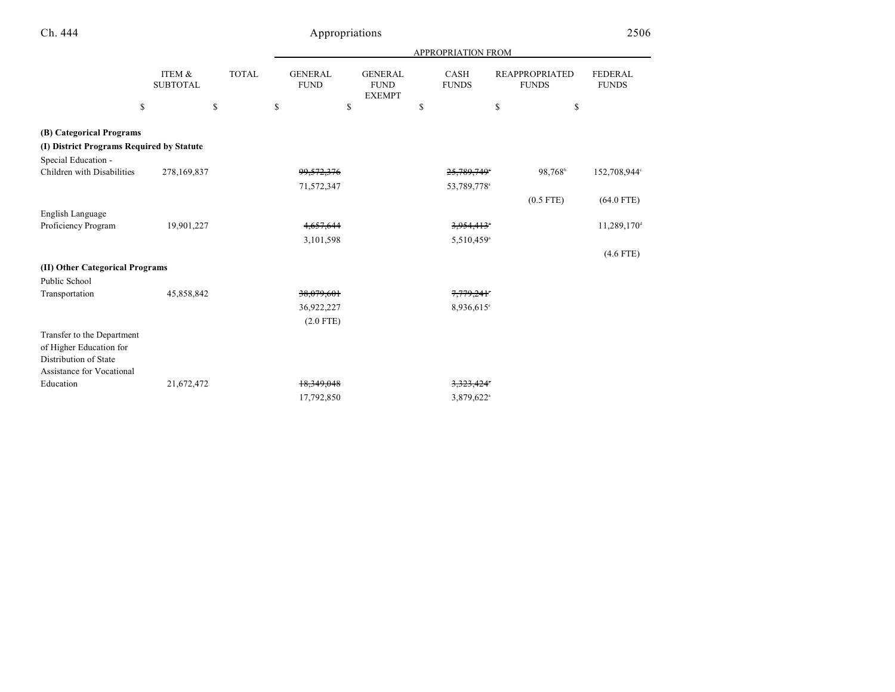|                                           |                           |              |                               | APPROPRIATION FROM                             |                         |                                       |                                |  |  |
|-------------------------------------------|---------------------------|--------------|-------------------------------|------------------------------------------------|-------------------------|---------------------------------------|--------------------------------|--|--|
|                                           | ITEM &<br><b>SUBTOTAL</b> | <b>TOTAL</b> | <b>GENERAL</b><br><b>FUND</b> | <b>GENERAL</b><br><b>FUND</b><br><b>EXEMPT</b> | CASH<br><b>FUNDS</b>    | <b>REAPPROPRIATED</b><br><b>FUNDS</b> | <b>FEDERAL</b><br><b>FUNDS</b> |  |  |
| \$                                        |                           | \$           | \$<br>\$                      |                                                | \$                      | \$                                    | \$                             |  |  |
| (B) Categorical Programs                  |                           |              |                               |                                                |                         |                                       |                                |  |  |
| (I) District Programs Required by Statute |                           |              |                               |                                                |                         |                                       |                                |  |  |
| Special Education -                       |                           |              |                               |                                                |                         |                                       |                                |  |  |
| Children with Disabilities                | 278,169,837               |              | 99, 572, 376                  |                                                | 25,789,749°             | 98,768 <sup>b</sup>                   | 152,708,944°                   |  |  |
|                                           |                           |              | 71,572,347                    |                                                | 53,789,778 <sup>a</sup> |                                       |                                |  |  |
|                                           |                           |              |                               |                                                |                         | $(0.5$ FTE)                           | $(64.0$ FTE)                   |  |  |
| English Language                          |                           |              |                               |                                                |                         |                                       |                                |  |  |
| Proficiency Program                       | 19,901,227                |              | 4,657,644                     |                                                | 3,954,413*              |                                       | 11,289,170 <sup>d</sup>        |  |  |
|                                           |                           |              | 3,101,598                     |                                                | 5,510,459 <sup>a</sup>  |                                       |                                |  |  |
|                                           |                           |              |                               |                                                |                         |                                       | $(4.6$ FTE)                    |  |  |
| (II) Other Categorical Programs           |                           |              |                               |                                                |                         |                                       |                                |  |  |
| Public School                             |                           |              |                               |                                                |                         |                                       |                                |  |  |
| Transportation                            | 45,858,842                |              | 38,079,601                    |                                                | 7,779,241°              |                                       |                                |  |  |
|                                           |                           |              | 36,922,227                    |                                                | 8,936,615°              |                                       |                                |  |  |
|                                           |                           |              | $(2.0$ FTE)                   |                                                |                         |                                       |                                |  |  |
| Transfer to the Department                |                           |              |                               |                                                |                         |                                       |                                |  |  |
| of Higher Education for                   |                           |              |                               |                                                |                         |                                       |                                |  |  |
| Distribution of State                     |                           |              |                               |                                                |                         |                                       |                                |  |  |
| <b>Assistance for Vocational</b>          |                           |              |                               |                                                |                         |                                       |                                |  |  |
| Education                                 | 21,672,472                |              | 18,349,048                    |                                                | 3,323,424*              |                                       |                                |  |  |
|                                           |                           |              | 17,792,850                    |                                                | 3,879,622 <sup>a</sup>  |                                       |                                |  |  |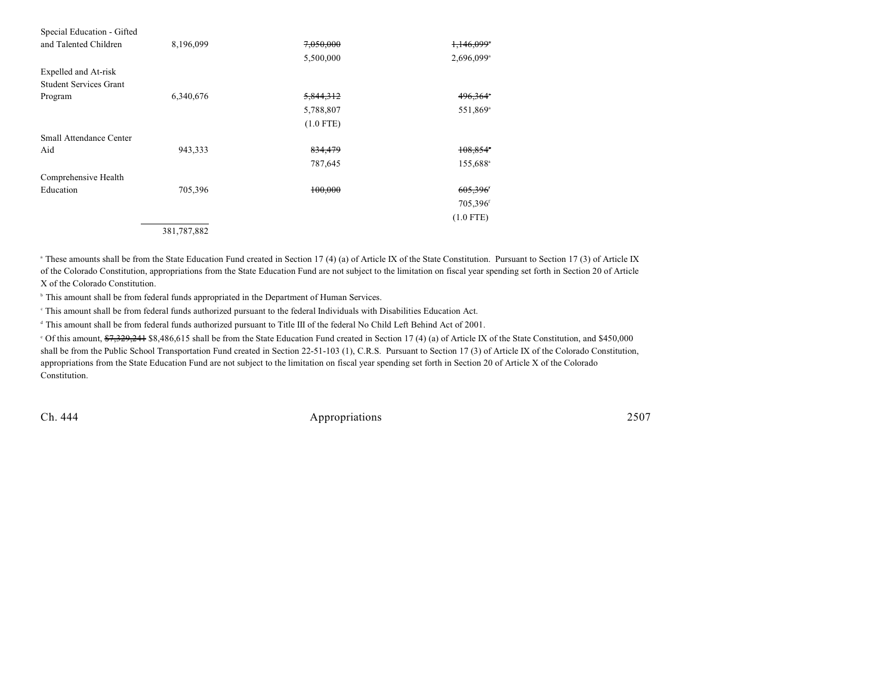| Special Education - Gifted    |             |             |                        |
|-------------------------------|-------------|-------------|------------------------|
| and Talented Children         | 8,196,099   | 7,050,000   | 1,146,099*             |
|                               |             | 5,500,000   | 2,696,099 <sup>a</sup> |
| Expelled and At-risk          |             |             |                        |
| <b>Student Services Grant</b> |             |             |                        |
| Program                       | 6,340,676   | 5,844,312   | 496,364°               |
|                               |             | 5,788,807   | 551,869 <sup>a</sup>   |
|                               |             | $(1.0$ FTE) |                        |
| Small Attendance Center       |             |             |                        |
| Aid                           | 943,333     | 834,479     | 108,854*               |
|                               |             | 787,645     | 155,688 <sup>a</sup>   |
| Comprehensive Health          |             |             |                        |
| Education                     | 705,396     | 100,000     | 605,396                |
|                               |             |             | 705,396 <sup>f</sup>   |
|                               |             |             | $(1.0$ FTE)            |
|                               | 381,787,882 |             |                        |

<sup>a</sup> These amounts shall be from the State Education Fund created in Section 17 (4) (a) of Article IX of the State Constitution. Pursuant to Section 17 (3) of Article IX of the Colorado Constitution, appropriations from the State Education Fund are not subject to the limitation on fiscal year spending set forth in Section 20 of Article X of the Colorado Constitution.

<sup>b</sup> This amount shall be from federal funds appropriated in the Department of Human Services.

This amount shall be from federal funds authorized pursuant to the federal Individuals with Disabilities Education Act.

<sup>d</sup> This amount shall be from federal funds authorized pursuant to Title III of the federal No Child Left Behind Act of 2001.

<sup>e</sup> Of this amount, \$7,329,241 \$8,486,615 shall be from the State Education Fund created in Section 17 (4) (a) of Article IX of the State Constitution, and \$450,000 shall be from the Public School Transportation Fund created in Section 22-51-103 (1), C.R.S. Pursuant to Section 17 (3) of Article IX of the Colorado Constitution, appropriations from the State Education Fund are not subject to the limitation on fiscal year spending set forth in Section 20 of Article X of the Colorado Constitution.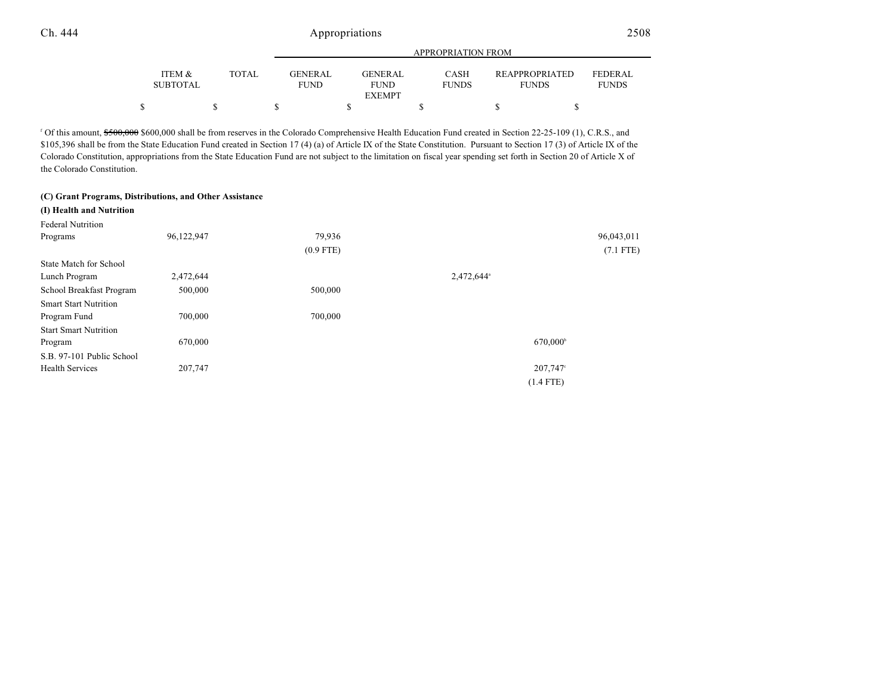|                           |              | APPROPRIATION FROM            |  |                        |  |                             |  |                                       |                                |
|---------------------------|--------------|-------------------------------|--|------------------------|--|-----------------------------|--|---------------------------------------|--------------------------------|
| ITEM &<br><b>SUBTOTAL</b> | <b>TOTAL</b> | <b>GENERAL</b><br><b>FUND</b> |  | GENERAL<br><b>FUND</b> |  | <b>CASH</b><br><b>FUNDS</b> |  | <b>REAPPROPRIATED</b><br><b>FUNDS</b> | <b>FEDERAL</b><br><b>FUNDS</b> |
|                           |              |                               |  | <b>EXEMPT</b>          |  |                             |  |                                       |                                |
|                           |              |                               |  |                        |  |                             |  |                                       |                                |

 $\alpha$ <sup>f</sup> Of this amount,  $\frac{6500,000}{1}$ , C.R.S., and  $\alpha$  from reserves in the Colorado Comprehensive Health Education Fund created in Section 22-25-109 (1), C.R.S., and \$105,396 shall be from the State Education Fund created in Section 17 (4) (a) of Article IX of the State Constitution. Pursuant to Section 17 (3) of Article IX of the Colorado Constitution, appropriations from the State Education Fund are not subject to the limitation on fiscal year spending set forth in Section 20 of Article X of the Colorado Constitution.

#### **(C) Grant Programs, Distributions, and Other Assistance**

| (I) Health and Nutrition      |            |             |                        |             |
|-------------------------------|------------|-------------|------------------------|-------------|
| <b>Federal Nutrition</b>      |            |             |                        |             |
| Programs                      | 96,122,947 | 79,936      |                        | 96,043,011  |
|                               |            | $(0.9$ FTE) |                        | $(7.1$ FTE) |
| <b>State Match for School</b> |            |             |                        |             |
| Lunch Program                 | 2,472,644  |             | 2,472,644 <sup>a</sup> |             |
| School Breakfast Program      | 500,000    | 500,000     |                        |             |
| <b>Smart Start Nutrition</b>  |            |             |                        |             |
| Program Fund                  | 700,000    | 700,000     |                        |             |
| <b>Start Smart Nutrition</b>  |            |             |                        |             |
| Program                       | 670,000    |             | 670,000 <sup>b</sup>   |             |
| S.B. 97-101 Public School     |            |             |                        |             |
| <b>Health Services</b>        | 207,747    |             | 207,747°               |             |
|                               |            |             | $(1.4$ FTE)            |             |
|                               |            |             |                        |             |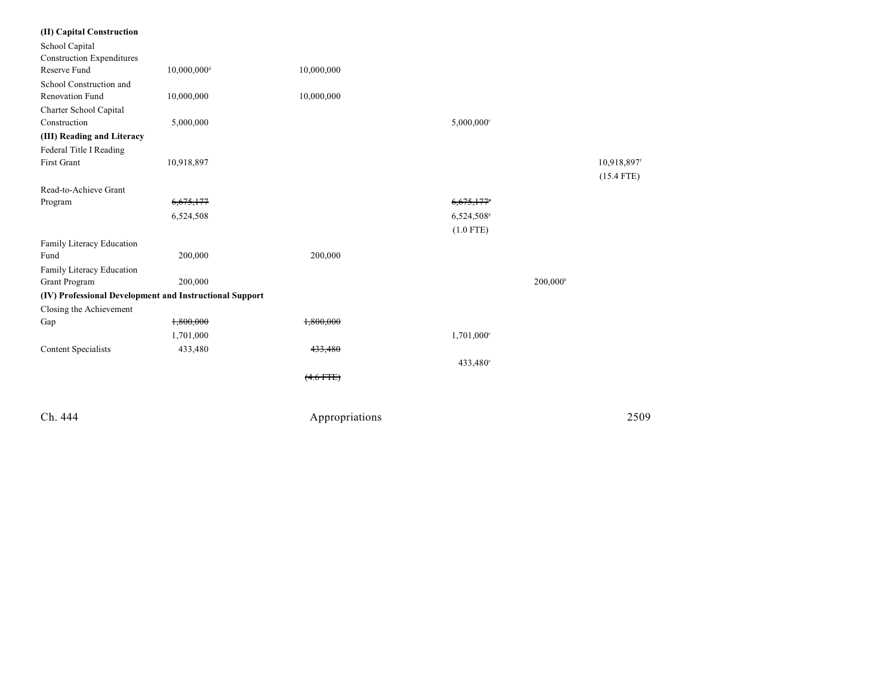| (II) Capital Construction                               |                           |                |                        |                      |
|---------------------------------------------------------|---------------------------|----------------|------------------------|----------------------|
| School Capital                                          |                           |                |                        |                      |
| <b>Construction Expenditures</b>                        |                           |                |                        |                      |
| Reserve Fund                                            | $10,000,000$ <sup>d</sup> | 10,000,000     |                        |                      |
| School Construction and                                 |                           |                |                        |                      |
| <b>Renovation Fund</b>                                  | 10,000,000                | 10,000,000     |                        |                      |
| Charter School Capital                                  |                           |                |                        |                      |
| Construction                                            | 5,000,000                 |                | 5,000,000°             |                      |
| (III) Reading and Literacy                              |                           |                |                        |                      |
| Federal Title I Reading                                 |                           |                |                        |                      |
| <b>First Grant</b>                                      | 10,918,897                |                |                        | 10,918,897f          |
|                                                         |                           |                |                        | $(15.4$ FTE)         |
| Read-to-Achieve Grant                                   |                           |                |                        |                      |
| Program                                                 | 6,675,177                 |                | 6,675,177              |                      |
|                                                         | 6,524,508                 |                | 6,524,508 <sup>s</sup> |                      |
|                                                         |                           |                | $(1.0$ FTE)            |                      |
| Family Literacy Education                               |                           |                |                        |                      |
| Fund                                                    | 200,000                   | 200,000        |                        |                      |
| Family Literacy Education                               |                           |                |                        |                      |
| Grant Program                                           | 200,000                   |                |                        | 200,000 <sup>h</sup> |
| (IV) Professional Development and Instructional Support |                           |                |                        |                      |
| Closing the Achievement                                 |                           |                |                        |                      |
| Gap                                                     | 1,800,000                 | 1,800,000      |                        |                      |
|                                                         | 1,701,000                 |                | 1,701,000°             |                      |
| <b>Content Specialists</b>                              | 433,480                   | 433,480        |                        |                      |
|                                                         |                           |                | 433,480°               |                      |
|                                                         |                           | $(4.6$ FTE)    |                        |                      |
|                                                         |                           |                |                        |                      |
| Ch. 444                                                 |                           | Appropriations |                        | 2509                 |
|                                                         |                           |                |                        |                      |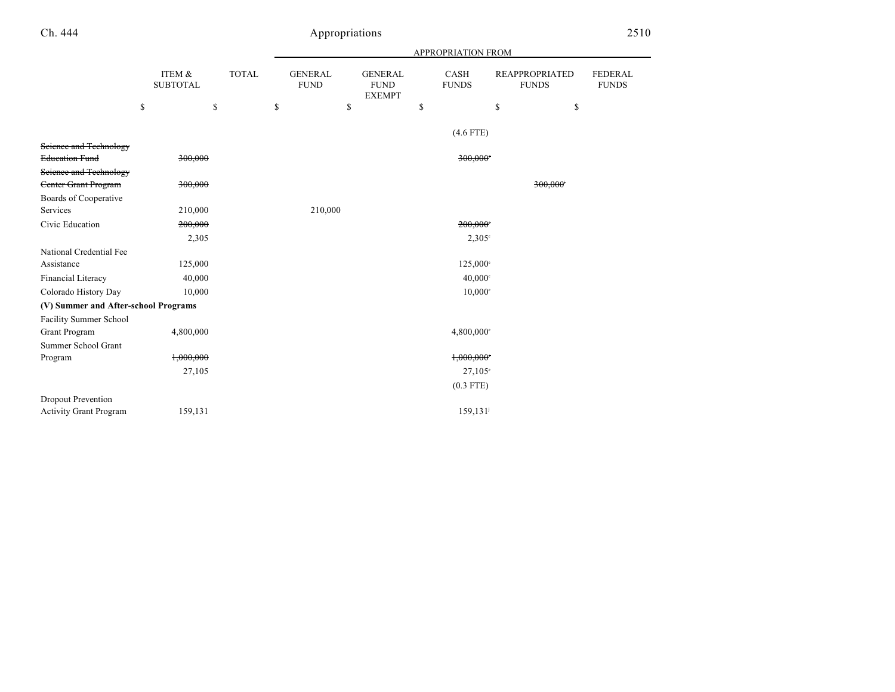|                                      |                           |              | APPROPRIATION FROM |                               |    |                                                |    |                          |                                       |                                |
|--------------------------------------|---------------------------|--------------|--------------------|-------------------------------|----|------------------------------------------------|----|--------------------------|---------------------------------------|--------------------------------|
|                                      | ITEM &<br><b>SUBTOTAL</b> | <b>TOTAL</b> |                    | <b>GENERAL</b><br><b>FUND</b> |    | <b>GENERAL</b><br><b>FUND</b><br><b>EXEMPT</b> |    | CASH<br><b>FUNDS</b>     | <b>REAPPROPRIATED</b><br><b>FUNDS</b> | <b>FEDERAL</b><br><b>FUNDS</b> |
|                                      | \$                        | \$           | \$                 |                               | \$ |                                                | \$ |                          | \$<br>\$                              |                                |
|                                      |                           |              |                    |                               |    |                                                |    | $(4.6$ FTE)              |                                       |                                |
| Science and Technology               |                           |              |                    |                               |    |                                                |    |                          |                                       |                                |
| <b>Education Fund</b>                | 300,000                   |              |                    |                               |    |                                                |    | 300,000                  |                                       |                                |
| Science and Technology               |                           |              |                    |                               |    |                                                |    |                          |                                       |                                |
| <b>Center Grant Program</b>          | 300,000                   |              |                    |                               |    |                                                |    |                          | 300,000                               |                                |
| Boards of Cooperative                |                           |              |                    |                               |    |                                                |    |                          |                                       |                                |
| Services                             | 210,000                   |              |                    | 210,000                       |    |                                                |    |                          |                                       |                                |
| Civic Education                      | 200,000                   |              |                    |                               |    |                                                |    | 200,000                  |                                       |                                |
|                                      | 2,305                     |              |                    |                               |    |                                                |    | $2,305^{\circ}$          |                                       |                                |
| National Credential Fee              |                           |              |                    |                               |    |                                                |    |                          |                                       |                                |
| Assistance                           | 125,000                   |              |                    |                               |    |                                                |    | $125,000^{\circ}$        |                                       |                                |
| Financial Literacy                   | 40,000                    |              |                    |                               |    |                                                |    | $40,000$ <sup>c</sup>    |                                       |                                |
| Colorado History Day                 | 10,000                    |              |                    |                               |    |                                                |    | $10,000$ <sup>c</sup>    |                                       |                                |
| (V) Summer and After-school Programs |                           |              |                    |                               |    |                                                |    |                          |                                       |                                |
| <b>Facility Summer School</b>        |                           |              |                    |                               |    |                                                |    |                          |                                       |                                |
| Grant Program                        | 4,800,000                 |              |                    |                               |    |                                                |    | $4,800,000$ <sup>c</sup> |                                       |                                |
| Summer School Grant                  |                           |              |                    |                               |    |                                                |    |                          |                                       |                                |
| Program                              | 1,000,000                 |              |                    |                               |    |                                                |    | 1,000,000                |                                       |                                |
|                                      | 27,105                    |              |                    |                               |    |                                                |    | $27.105^{\circ}$         |                                       |                                |
|                                      |                           |              |                    |                               |    |                                                |    | $(0.3$ FTE)              |                                       |                                |
| Dropout Prevention                   |                           |              |                    |                               |    |                                                |    |                          |                                       |                                |
| <b>Activity Grant Program</b>        | 159,131                   |              |                    |                               |    |                                                |    | 159, 131                 |                                       |                                |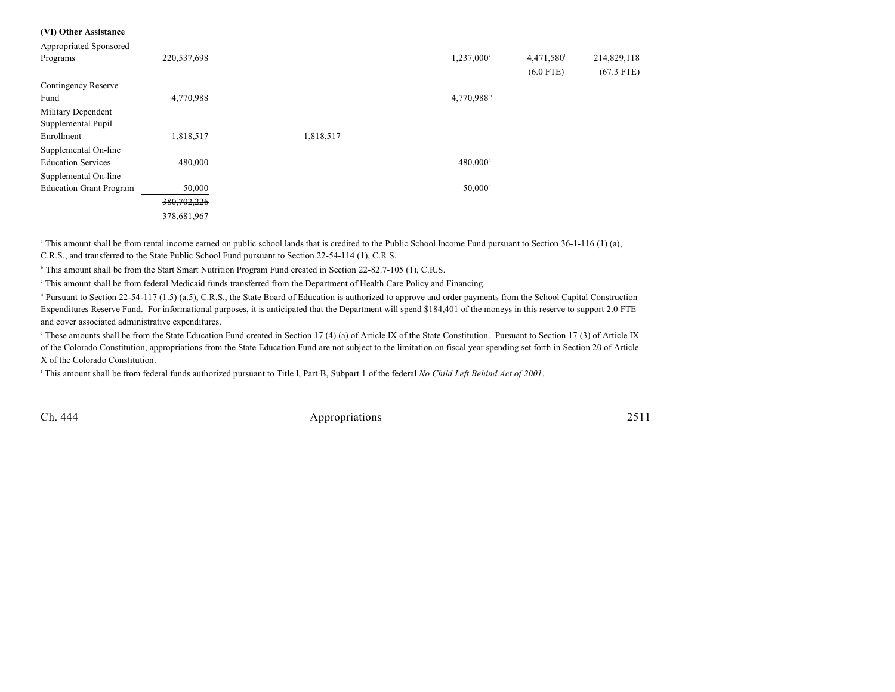#### **(VI) Other Assistance**

| Appropriated Sponsored         |               |           |                        |             |              |
|--------------------------------|---------------|-----------|------------------------|-------------|--------------|
| Programs                       | 220,537,698   |           | $1,237,000^k$          | 4,471,580   | 214,829,118  |
|                                |               |           |                        | $(6.0$ FTE) | $(67.3$ FTE) |
| Contingency Reserve            |               |           |                        |             |              |
| Fund                           | 4,770,988     |           | 4,770,988 <sup>m</sup> |             |              |
| Military Dependent             |               |           |                        |             |              |
| Supplemental Pupil             |               |           |                        |             |              |
| Enrollment                     | 1,818,517     | 1,818,517 |                        |             |              |
| Supplemental On-line           |               |           |                        |             |              |
| <b>Education Services</b>      | 480,000       |           | 480,000 <sup>n</sup>   |             |              |
| Supplemental On-line           |               |           |                        |             |              |
| <b>Education Grant Program</b> | 50,000        |           | $50,000$ <sup>n</sup>  |             |              |
|                                | 380, 702, 226 |           |                        |             |              |
|                                | 378,681,967   |           |                        |             |              |

<sup>a</sup> This amount shall be from rental income earned on public school lands that is credited to the Public School Income Fund pursuant to Section 36-1-116 (1) (a), C.R.S., and transferred to the State Public School Fund pursuant to Section 22-54-114 (1), C.R.S.

<sup>b</sup> This amount shall be from the Start Smart Nutrition Program Fund created in Section 22-82.7-105 (1), C.R.S.

This amount shall be from federal Medicaid funds transferred from the Department of Health Care Policy and Financing. <sup>c</sup>

<sup>d</sup> Pursuant to Section 22-54-117 (1.5) (a.5), C.R.S., the State Board of Education is authorized to approve and order payments from the School Capital Construction Expenditures Reserve Fund. For informational purposes, it is anticipated that the Department will spend \$184,401 of the moneys in this reserve to support 2.0 FTE and cover associated administrative expenditures.

<sup>e</sup> These amounts shall be from the State Education Fund created in Section 17 (4) (a) of Article IX of the State Constitution. Pursuant to Section 17 (3) of Article IX of the Colorado Constitution, appropriations from the State Education Fund are not subject to the limitation on fiscal year spending set forth in Section 20 of Article X of the Colorado Constitution.

This amount shall be from federal funds authorized pursuant to Title I, Part B, Subpart 1 of the federal *No Child Left Behind Act of 2001*. f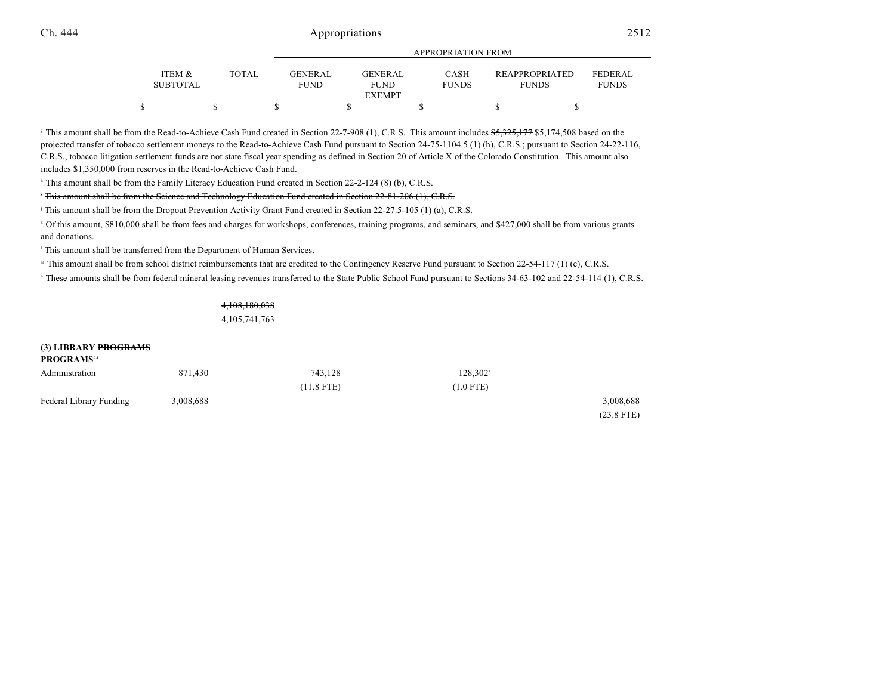|                           |        |                               | <u>IN LIWE INFITIOUT LIWEN</u>                 |                      |                                       |                                |  |  |  |
|---------------------------|--------|-------------------------------|------------------------------------------------|----------------------|---------------------------------------|--------------------------------|--|--|--|
| ITEM &<br><b>SUBTOTAL</b> | TOTAL. | <b>GENERAL</b><br><b>FUND</b> | <b>GENERAL</b><br><b>FUND</b><br><b>EXEMPT</b> | CASH<br><b>FUNDS</b> | <b>REAPPROPRIATED</b><br><b>FUNDS</b> | <b>FEDERAL</b><br><b>FUNDS</b> |  |  |  |
|                           |        |                               |                                                |                      |                                       |                                |  |  |  |
|                           |        |                               |                                                |                      |                                       |                                |  |  |  |

APPROPRIATION FROM

<sup>8</sup> This amount shall be from the Read-to-Achieve Cash Fund created in Section 22-7-908 (1), C.R.S. This amount includes \$5,325,177 \$5,174,508 based on the projected transfer of tobacco settlement moneys to the Read-to-Achieve Cash Fund pursuant to Section 24-75-1104.5 (1) (h), C.R.S.; pursuant to Section 24-22-116, C.R.S., tobacco litigation settlement funds are not state fiscal year spending as defined in Section 20 of Article X of the Colorado Constitution. This amount also includes \$1,350,000 from reserves in the Read-to-Achieve Cash Fund.

<sup>h</sup> This amount shall be from the Family Literacy Education Fund created in Section 22-2-124 (8) (b), C.R.S.

#### <sup>+</sup> <del>This amount shall be from the Science and Technology Education Fund created in Section 22-81-206 (1), C.R.S.</del>

<sup>j</sup> This amount shall be from the Dropout Prevention Activity Grant Fund created in Section 22-27.5-105 (1) (a), C.R.S.

<sup>k</sup> Of this amount, \$810,000 shall be from fees and charges for workshops, conferences, training programs, and seminars, and \$427,000 shall be from various grants and donations.

<sup>1</sup> This amount shall be transferred from the Department of Human Services.

" This amount shall be from school district reimbursements that are credited to the Contingency Reserve Fund pursuant to Section 22-54-117 (1) (c), C.R.S.

" These amounts shall be from federal mineral leasing revenues transferred to the State Public School Fund pursuant to Sections 34-63-102 and 22-54-114 (1), C.R.S.

4,108,180,038 4,105,741,763

| (3) LIBRARY PROGRAMS<br><b>PROGRAMS</b> <sup>5a</sup> |           |              |                   |              |
|-------------------------------------------------------|-----------|--------------|-------------------|--------------|
| Administration                                        | 871.430   | 743.128      | $128,302^{\circ}$ |              |
|                                                       |           | $(11.8$ FTE) | $(1.0$ FTE)       |              |
| Federal Library Funding                               | 3,008,688 |              |                   | 3,008,688    |
|                                                       |           |              |                   | $(23.8$ FTF) |

(23.8 FTE)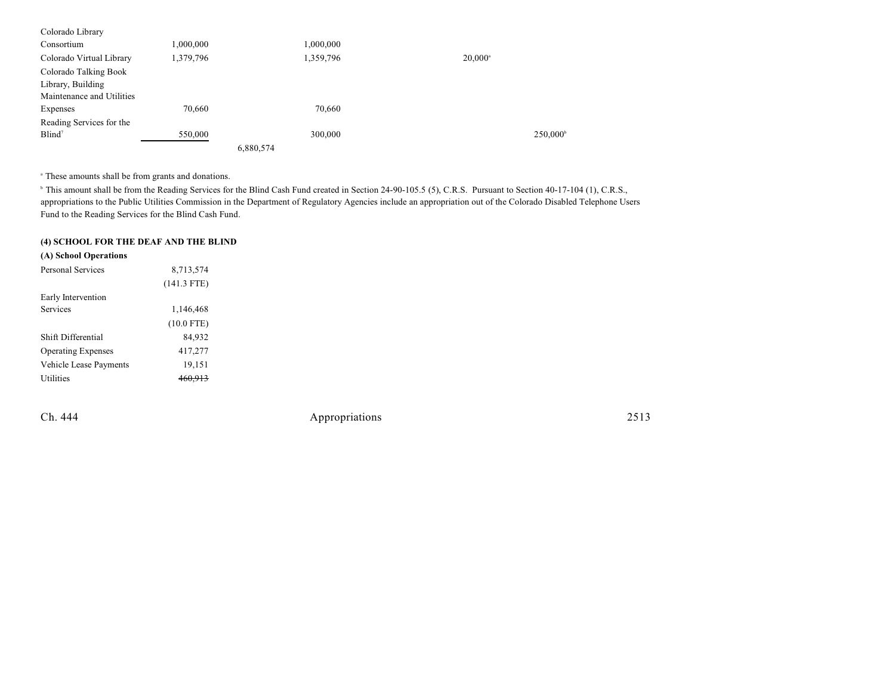| Colorado Library          |           |           |                  |                   |
|---------------------------|-----------|-----------|------------------|-------------------|
| Consortium                | 1,000,000 | 1,000,000 |                  |                   |
| Colorado Virtual Library  | 1,379,796 | 1,359,796 | $20,000^{\circ}$ |                   |
| Colorado Talking Book     |           |           |                  |                   |
| Library, Building         |           |           |                  |                   |
| Maintenance and Utilities |           |           |                  |                   |
| Expenses                  | 70,660    | 70,660    |                  |                   |
| Reading Services for the  |           |           |                  |                   |
| Blind <sup>7</sup>        | 550,000   | 300,000   |                  | $250,000^{\circ}$ |
|                           |           | 6,880,574 |                  |                   |

<sup>a</sup> These amounts shall be from grants and donations.

<sup>h</sup> This amount shall be from the Reading Services for the Blind Cash Fund created in Section 24-90-105.5 (5), C.R.S. Pursuant to Section 40-17-104 (1), C.R.S., appropriations to the Public Utilities Commission in the Department of Regulatory Agencies include an appropriation out of the Colorado Disabled Telephone Users Fund to the Reading Services for the Blind Cash Fund.

### **(4) SCHOOL FOR THE DEAF AND THE BLIND**

| (A) School Operations     |               |
|---------------------------|---------------|
| Personal Services         | 8,713,574     |
|                           | $(141.3$ FTE) |
| Early Intervention        |               |
| Services                  | 1,146,468     |
|                           | $(10.0$ FTE)  |
| Shift Differential        | 84,932        |
| <b>Operating Expenses</b> | 417,277       |
| Vehicle Lease Payments    | 19,151        |
| <b>Utilities</b>          |               |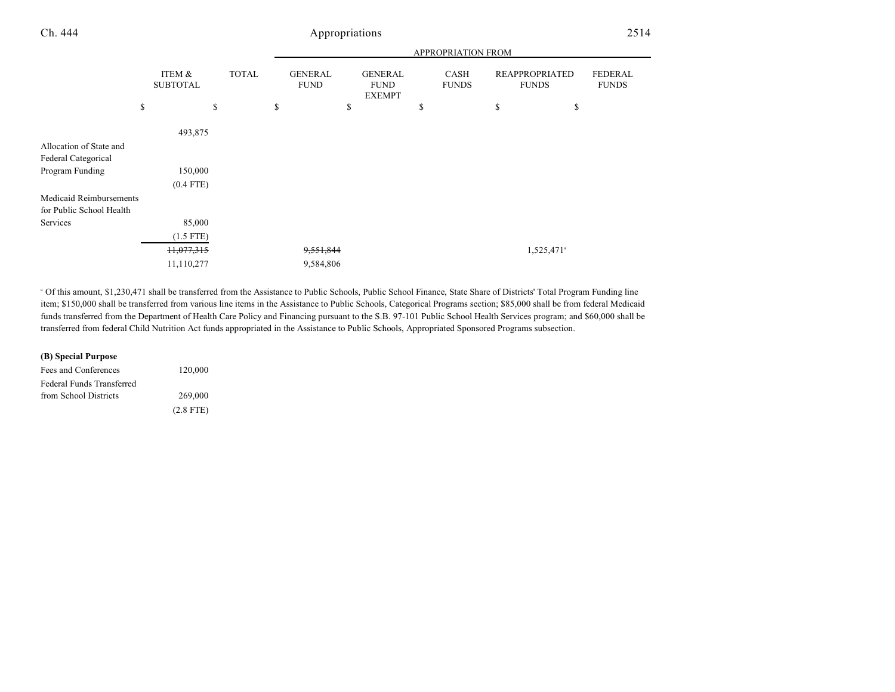|                          |                           |              | <b>APPROPRIATION FROM</b>     |                                                |    |                             |    |                                       |                                |
|--------------------------|---------------------------|--------------|-------------------------------|------------------------------------------------|----|-----------------------------|----|---------------------------------------|--------------------------------|
|                          | ITEM &<br><b>SUBTOTAL</b> | <b>TOTAL</b> | <b>GENERAL</b><br><b>FUND</b> | <b>GENERAL</b><br><b>FUND</b><br><b>EXEMPT</b> |    | <b>CASH</b><br><b>FUNDS</b> |    | <b>REAPPROPRIATED</b><br><b>FUNDS</b> | <b>FEDERAL</b><br><b>FUNDS</b> |
|                          | \$                        | \$           | \$<br>\$                      |                                                | \$ |                             | \$ | \$                                    |                                |
|                          | 493,875                   |              |                               |                                                |    |                             |    |                                       |                                |
| Allocation of State and  |                           |              |                               |                                                |    |                             |    |                                       |                                |
| Federal Categorical      |                           |              |                               |                                                |    |                             |    |                                       |                                |
| Program Funding          | 150,000                   |              |                               |                                                |    |                             |    |                                       |                                |
|                          | $(0.4$ FTE)               |              |                               |                                                |    |                             |    |                                       |                                |
| Medicaid Reimbursements  |                           |              |                               |                                                |    |                             |    |                                       |                                |
| for Public School Health |                           |              |                               |                                                |    |                             |    |                                       |                                |
| Services                 | 85,000                    |              |                               |                                                |    |                             |    |                                       |                                |
|                          | $(1.5$ FTE)               |              |                               |                                                |    |                             |    |                                       |                                |
|                          | 11,077,315                |              | 9,551,844                     |                                                |    |                             |    | 1,525,471 <sup>a</sup>                |                                |
|                          | 11,110,277                |              | 9,584,806                     |                                                |    |                             |    |                                       |                                |

<sup>a</sup> Of this amount, \$1,230,471 shall be transferred from the Assistance to Public Schools, Public School Finance, State Share of Districts' Total Program Funding line item; \$150,000 shall be transferred from various line items in the Assistance to Public Schools, Categorical Programs section; \$85,000 shall be from federal Medicaid funds transferred from the Department of Health Care Policy and Financing pursuant to the S.B. 97-101 Public School Health Services program; and \$60,000 shall be transferred from federal Child Nutrition Act funds appropriated in the Assistance to Public Schools, Appropriated Sponsored Programs subsection.

| (B) Special Purpose       |             |
|---------------------------|-------------|
| Fees and Conferences      | 120,000     |
| Federal Funds Transferred |             |
| from School Districts     | 269,000     |
|                           | $(2.8$ FTE) |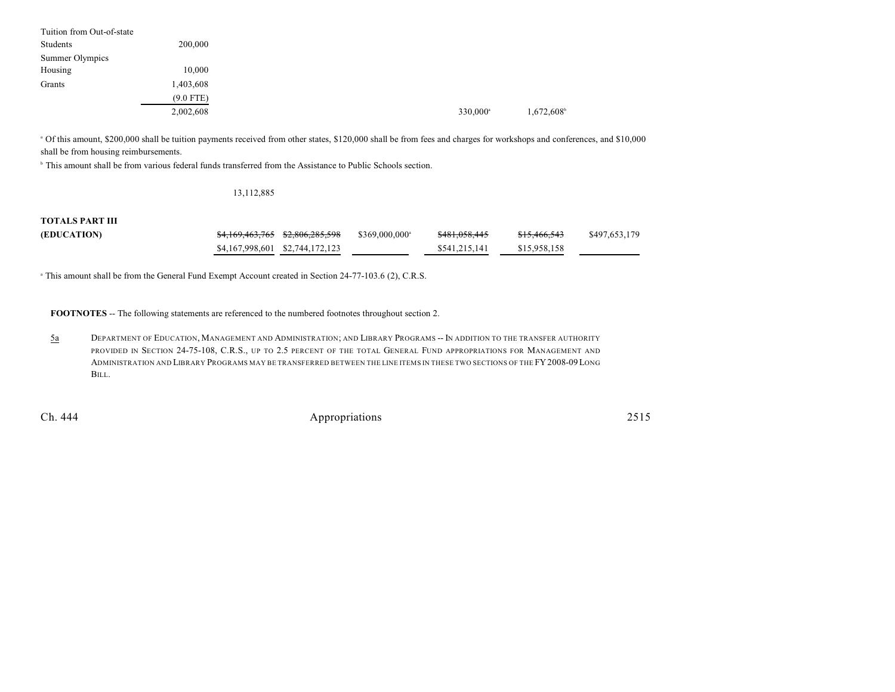| Tuition from Out-of-state |             |  |                      |           |
|---------------------------|-------------|--|----------------------|-----------|
| Students                  | 200,000     |  |                      |           |
| Summer Olympics           |             |  |                      |           |
| Housing                   | 10,000      |  |                      |           |
| Grants                    | 1,403,608   |  |                      |           |
|                           | $(9.0$ FTE) |  |                      |           |
|                           | 2,002,608   |  | 330,000 <sup>a</sup> | 1,672,608 |

 Of this amount, \$200,000 shall be tuition payments received from other states, \$120,000 shall be from fees and charges for workshops and conferences, and \$10,000 <sup>a</sup> shall be from housing reimbursements.

<sup>b</sup> This amount shall be from various federal funds transferred from the Assistance to Public Schools section.

#### 13,112,885

### **TOTALS PART III**

| (EDUCATION) | <del>\$4,169,463,765</del> \$2,806,285,598 | $$369,000,000^{\circ}$ | \$481,058,445 | <del>\$15,466,543</del> | \$497,653,179 |
|-------------|--------------------------------------------|------------------------|---------------|-------------------------|---------------|
|             | \$4,167,998,601 \$2,744,172,123            |                        | \$541,215,141 | \$15,958,158            |               |

<sup>a</sup> This amount shall be from the General Fund Exempt Account created in Section 24-77-103.6 (2), C.R.S.

**FOOTNOTES** -- The following statements are referenced to the numbered footnotes throughout section 2.

5a DEPARTMENT OF EDUCATION, MANAGEMENT AND ADMINISTRATION; AND LIBRARY PROGRAMS -- IN ADDITION TO THE TRANSFER AUTHORITY PROVIDED IN SECTION 24-75-108, C.R.S., UP TO 2.5 PERCENT OF THE TOTAL GENERAL FUND APPROPRIATIONS FOR MANAGEMENT AND ADMINISTRATION AND LIBRARY PROGRAMS MAY BE TRANSFERRED BETWEEN THE LINE ITEMS IN THESE TWO SECTIONS OF THE FY2008-09LONG BILL.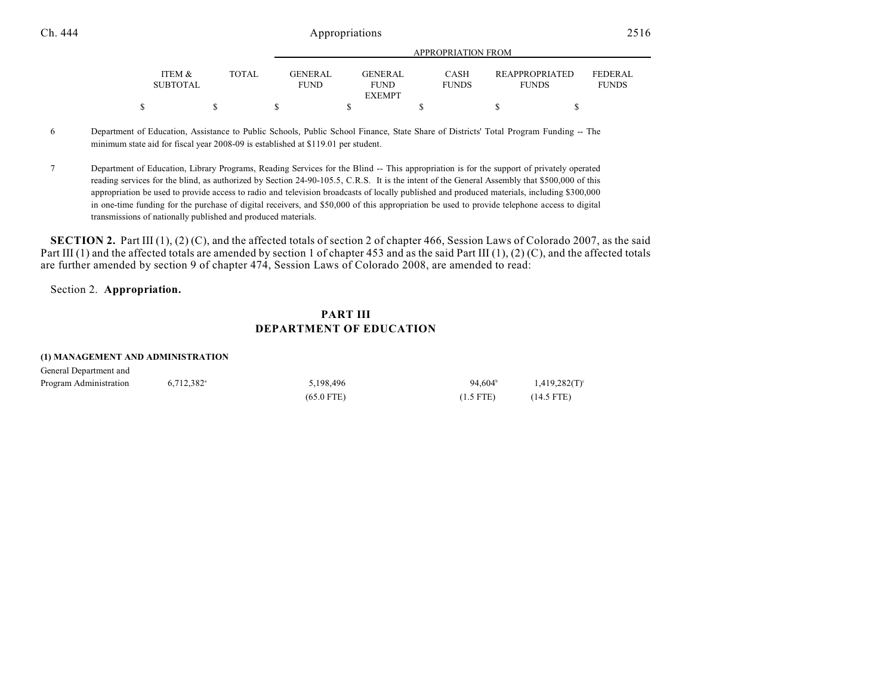|                           |       |                               | <u>IN LIWI KII HOIT LWOM</u> |                             |                                       |                         |  |  |  |
|---------------------------|-------|-------------------------------|------------------------------|-----------------------------|---------------------------------------|-------------------------|--|--|--|
| ITEM &<br><b>SUBTOTAL</b> | TOTAL | <b>GENERAL</b><br><b>FUND</b> | GENERAL<br><b>FUND</b>       | <b>CASH</b><br><b>FUNDS</b> | <b>REAPPROPRIATED</b><br><b>FUNDS</b> | FEDERAL<br><b>FUNDS</b> |  |  |  |
|                           |       |                               | <b>EXEMPT</b>                |                             |                                       |                         |  |  |  |
|                           |       |                               |                              |                             |                                       |                         |  |  |  |

APPROPRIATION FROM

6 Department of Education, Assistance to Public Schools, Public School Finance, State Share of Districts' Total Program Funding -- The minimum state aid for fiscal year 2008-09 is established at \$119.01 per student.

7 Department of Education, Library Programs, Reading Services for the Blind -- This appropriation is for the support of privately operated reading services for the blind, as authorized by Section 24-90-105.5, C.R.S. It is the intent of the General Assembly that \$500,000 of this appropriation be used to provide access to radio and television broadcasts of locally published and produced materials, including \$300,000 in one-time funding for the purchase of digital receivers, and \$50,000 of this appropriation be used to provide telephone access to digital transmissions of nationally published and produced materials.

**SECTION 2.** Part III (1), (2) (C), and the affected totals of section 2 of chapter 466, Session Laws of Colorado 2007, as the said Part III (1) and the affected totals are amended by section 1 of chapter 453 and as the said Part III (1), (2) (C), and the affected totals are further amended by section 9 of chapter 474, Session Laws of Colorado 2008, are amended to read:

#### Section 2. **Appropriation.**

### **PART III DEPARTMENT OF EDUCATION**

#### **(1) MANAGEMENT AND ADMINISTRATION**

| General Department and |                          |              |                  |                  |  |  |  |  |
|------------------------|--------------------------|--------------|------------------|------------------|--|--|--|--|
| Program Administration | $6.712.382$ <sup>a</sup> | 5.198.496    | $94.604^{\circ}$ | $1,419,282(T)^c$ |  |  |  |  |
|                        |                          | $(65.0$ FTE) | $(1.5$ FTE)      | $(14.5$ FTE)     |  |  |  |  |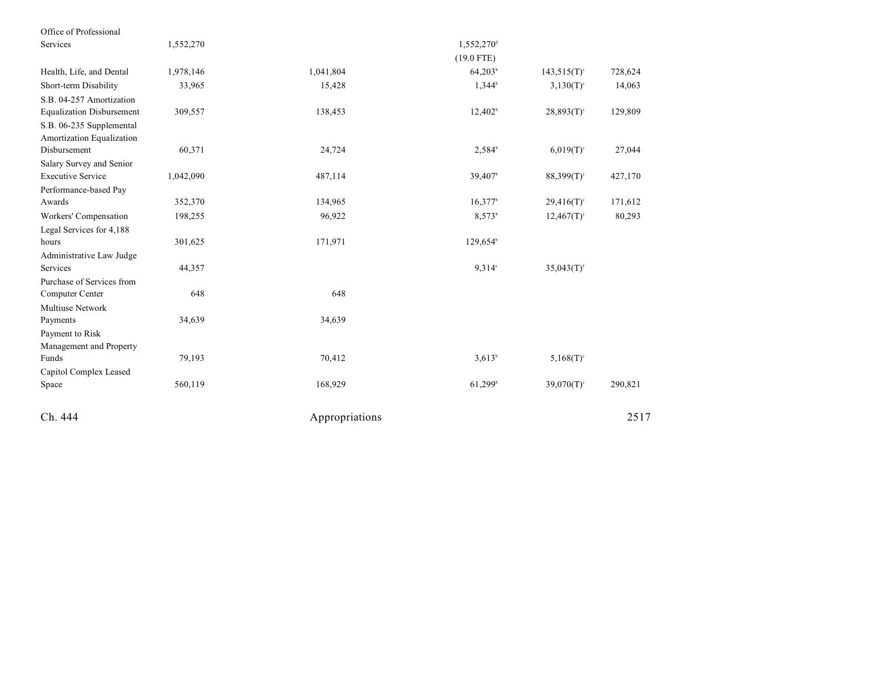| Office of Professional                                |           |                |                        |                           |         |
|-------------------------------------------------------|-----------|----------------|------------------------|---------------------------|---------|
| Services                                              | 1,552,270 |                | 1,552,270 <sup>d</sup> |                           |         |
|                                                       |           |                | $(19.0$ FTE)           |                           |         |
| Health, Life, and Dental                              | 1,978,146 | 1,041,804      | 64,203 <sup>b</sup>    | $143,515(T)$ <sup>c</sup> | 728,624 |
| Short-term Disability                                 | 33,965    | 15,428         | $1,344^b$              | $3,130(T)^{c}$            | 14,063  |
| S.B. 04-257 Amortization                              |           |                |                        |                           |         |
| <b>Equalization Disbursement</b>                      | 309,557   | 138,453        | $12,402^b$             | $28,893(T)$ <sup>c</sup>  | 129,809 |
| S.B. 06-235 Supplemental<br>Amortization Equalization |           |                |                        |                           |         |
| Disbursement                                          | 60,371    | 24,724         | 2,584 <sup>b</sup>     | $6,019(T)$ <sup>c</sup>   | 27,044  |
| Salary Survey and Senior                              |           |                |                        |                           |         |
| <b>Executive Service</b>                              | 1,042,090 | 487,114        | $39,407$ <sup>b</sup>  | $88,399(T)$ <sup>c</sup>  | 427,170 |
| Performance-based Pay                                 |           |                |                        |                           |         |
| Awards                                                | 352,370   | 134,965        | $16,377$ <sup>b</sup>  | $29,416(T)$ <sup>c</sup>  | 171,612 |
| Workers' Compensation                                 | 198,255   | 96,922         | $8,573^b$              | $12,467(T)$ <sup>c</sup>  | 80,293  |
| Legal Services for 4,188                              |           |                |                        |                           |         |
| hours                                                 | 301,625   | 171,971        | 129,654 <sup>b</sup>   |                           |         |
| Administrative Law Judge                              |           |                |                        |                           |         |
| Services                                              | 44,357    |                | $9.314$ °              | $35,043(T)$ <sup>f</sup>  |         |
| Purchase of Services from                             |           |                |                        |                           |         |
| Computer Center                                       | 648       | 648            |                        |                           |         |
| <b>Multiuse Network</b>                               |           |                |                        |                           |         |
| Payments                                              | 34,639    | 34,639         |                        |                           |         |
| Payment to Risk                                       |           |                |                        |                           |         |
| Management and Property                               |           |                |                        |                           |         |
| Funds                                                 | 79,193    | 70,412         | $3,613^{b}$            | $5,168(T)^{c}$            |         |
| Capitol Complex Leased                                |           |                |                        |                           |         |
| Space                                                 | 560,119   | 168,929        | $61,299$ <sup>b</sup>  | $39,070(T)$ <sup>c</sup>  | 290,821 |
| Ch. 444                                               |           | Appropriations |                        |                           | 2517    |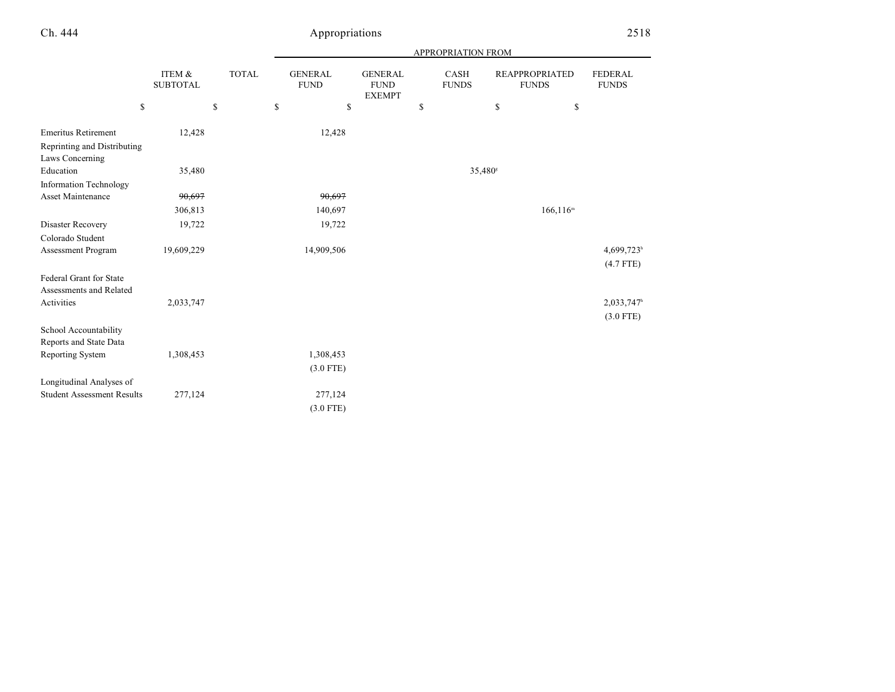|                                                |                           |              | APPROPRIATION FROM            |                                                |    |                      |    |                                       |                                |  |  |
|------------------------------------------------|---------------------------|--------------|-------------------------------|------------------------------------------------|----|----------------------|----|---------------------------------------|--------------------------------|--|--|
|                                                | ITEM &<br><b>SUBTOTAL</b> | <b>TOTAL</b> | <b>GENERAL</b><br><b>FUND</b> | <b>GENERAL</b><br><b>FUND</b><br><b>EXEMPT</b> |    | CASH<br><b>FUNDS</b> |    | <b>REAPPROPRIATED</b><br><b>FUNDS</b> | <b>FEDERAL</b><br><b>FUNDS</b> |  |  |
| \$                                             |                           | \$           | \$<br>\$                      |                                                | \$ |                      | \$ | \$                                    |                                |  |  |
| <b>Emeritus Retirement</b>                     | 12,428                    |              | 12,428                        |                                                |    |                      |    |                                       |                                |  |  |
| Reprinting and Distributing<br>Laws Concerning |                           |              |                               |                                                |    |                      |    |                                       |                                |  |  |
| Education                                      | 35,480                    |              |                               |                                                |    | 35,480 <sup>s</sup>  |    |                                       |                                |  |  |
| <b>Information Technology</b>                  |                           |              |                               |                                                |    |                      |    |                                       |                                |  |  |
| <b>Asset Maintenance</b>                       | 90,697                    |              | 90,697                        |                                                |    |                      |    |                                       |                                |  |  |
|                                                | 306,813                   |              | 140,697                       |                                                |    |                      |    | $166, 116^m$                          |                                |  |  |
| Disaster Recovery                              | 19,722                    |              | 19,722                        |                                                |    |                      |    |                                       |                                |  |  |
| Colorado Student                               |                           |              |                               |                                                |    |                      |    |                                       |                                |  |  |
| Assessment Program                             | 19,609,229                |              | 14,909,506                    |                                                |    |                      |    |                                       | 4,699,723h                     |  |  |
|                                                |                           |              |                               |                                                |    |                      |    |                                       | $(4.7$ FTE)                    |  |  |
| Federal Grant for State                        |                           |              |                               |                                                |    |                      |    |                                       |                                |  |  |
| Assessments and Related                        |                           |              |                               |                                                |    |                      |    |                                       |                                |  |  |
| Activities                                     | 2,033,747                 |              |                               |                                                |    |                      |    |                                       | 2,033,747h                     |  |  |
|                                                |                           |              |                               |                                                |    |                      |    |                                       | $(3.0$ FTE)                    |  |  |
| School Accountability                          |                           |              |                               |                                                |    |                      |    |                                       |                                |  |  |
| Reports and State Data                         |                           |              |                               |                                                |    |                      |    |                                       |                                |  |  |
| Reporting System                               | 1,308,453                 |              | 1,308,453                     |                                                |    |                      |    |                                       |                                |  |  |
|                                                |                           |              | $(3.0$ FTE)                   |                                                |    |                      |    |                                       |                                |  |  |
| Longitudinal Analyses of                       |                           |              |                               |                                                |    |                      |    |                                       |                                |  |  |
| <b>Student Assessment Results</b>              | 277,124                   |              | 277,124                       |                                                |    |                      |    |                                       |                                |  |  |
|                                                |                           |              | $(3.0$ FTE)                   |                                                |    |                      |    |                                       |                                |  |  |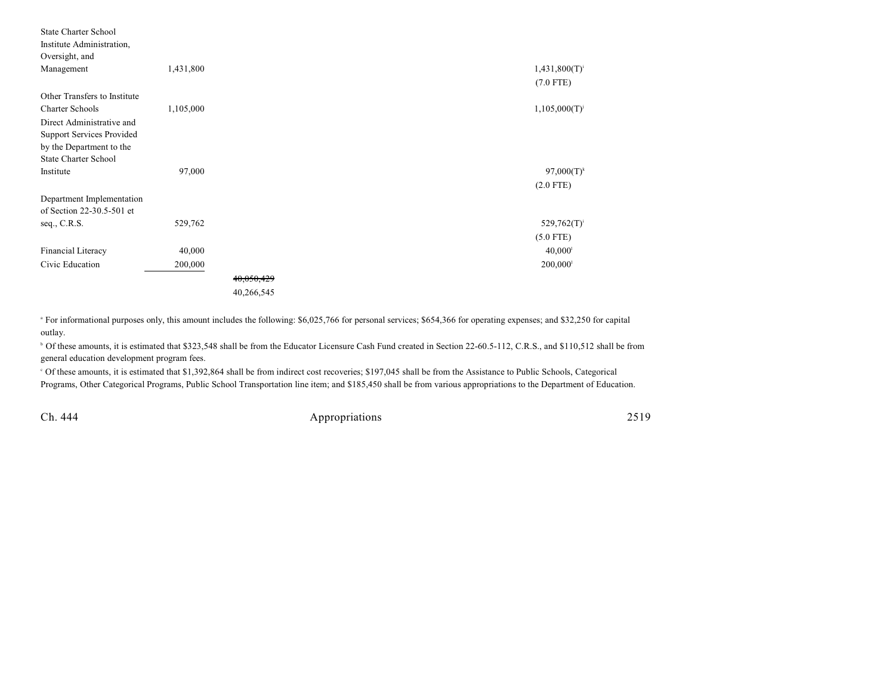| <b>State Charter School</b><br>Institute Administration,<br>Oversight, and |           |                       |                       |
|----------------------------------------------------------------------------|-----------|-----------------------|-----------------------|
| Management                                                                 | 1,431,800 |                       | $1,431,800(T)^{i}$    |
|                                                                            |           |                       | $(7.0$ FTE)           |
| Other Transfers to Institute                                               |           |                       |                       |
| <b>Charter Schools</b>                                                     | 1,105,000 |                       | 1,105,000(T)          |
| Direct Administrative and                                                  |           |                       |                       |
| Support Services Provided                                                  |           |                       |                       |
| by the Department to the                                                   |           |                       |                       |
| <b>State Charter School</b>                                                |           |                       |                       |
| Institute                                                                  | 97,000    |                       | $97,000(T)^k$         |
|                                                                            |           |                       | $(2.0$ FTE)           |
| Department Implementation                                                  |           |                       |                       |
| of Section 22-30.5-501 et                                                  |           |                       |                       |
| seq., C.R.S.                                                               | 529,762   |                       | $529,762(T)^{i}$      |
|                                                                            |           |                       | $(5.0$ FTE)           |
| Financial Literacy                                                         | 40,000    |                       | $40,000$ <sup>1</sup> |
| Civic Education                                                            | 200,000   |                       | 200,000               |
|                                                                            |           | <del>40,050,429</del> |                       |
|                                                                            |           | 40,266,545            |                       |

<sup>a</sup> For informational purposes only, this amount includes the following: \$6,025,766 for personal services; \$654,366 for operating expenses; and \$32,250 for capital outlay.

<sup>b</sup> Of these amounts, it is estimated that \$323,548 shall be from the Educator Licensure Cash Fund created in Section 22-60.5-112, C.R.S., and \$110,512 shall be from general education development program fees.

 Of these amounts, it is estimated that \$1,392,864 shall be from indirect cost recoveries; \$197,045 shall be from the Assistance to Public Schools, Categorical <sup>c</sup> Programs, Other Categorical Programs, Public School Transportation line item; and \$185,450 shall be from various appropriations to the Department of Education.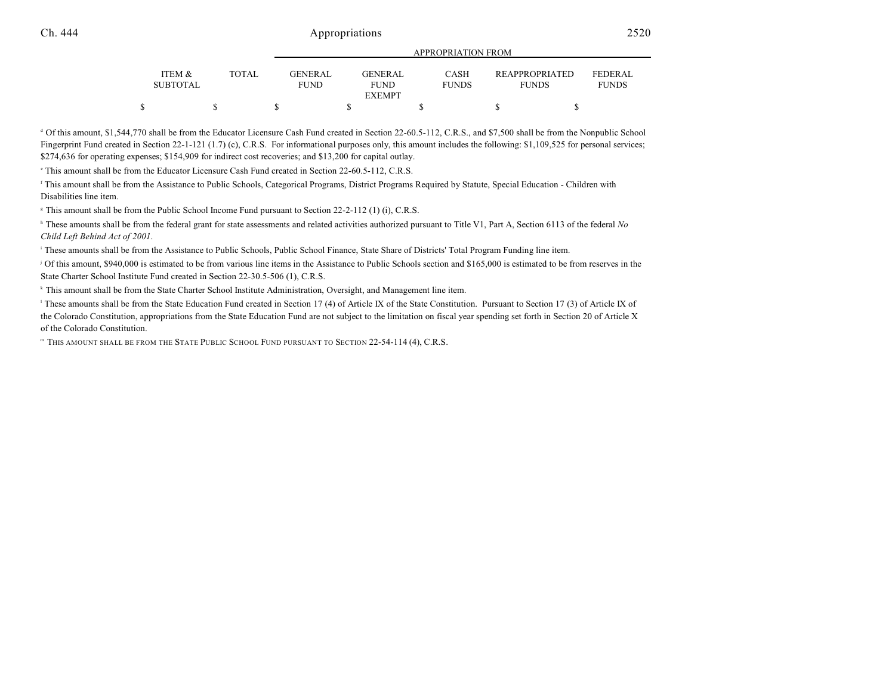|                           |        |                        | <u>IN LIWE KENTION LIWEN</u>            |                      |                                       |                         |  |  |  |  |  |
|---------------------------|--------|------------------------|-----------------------------------------|----------------------|---------------------------------------|-------------------------|--|--|--|--|--|
| ITEM &<br><b>SUBTOTAL</b> | TOTAL. | <b>GENERAL</b><br>FUND | <b>GENERAL</b><br>FUND<br><b>EXEMPT</b> | CASH<br><b>FUNDS</b> | <b>REAPPROPRIATED</b><br><b>FUNDS</b> | FEDERAL<br><b>FUNDS</b> |  |  |  |  |  |
|                           |        |                        |                                         |                      |                                       |                         |  |  |  |  |  |

APPROPRIATION FROM

<sup>d</sup> Of this amount, \$1,544,770 shall be from the Educator Licensure Cash Fund created in Section 22-60.5-112, C.R.S., and \$7,500 shall be from the Nonpublic School Fingerprint Fund created in Section 22-1-121 (1.7) (c), C.R.S. For informational purposes only, this amount includes the following: \$1,109,525 for personal services; \$274,636 for operating expenses; \$154,909 for indirect cost recoveries; and \$13,200 for capital outlay.

<sup>e</sup> This amount shall be from the Educator Licensure Cash Fund created in Section 22-60.5-112, C.R.S.

 This amount shall be from the Assistance to Public Schools, Categorical Programs, District Programs Required by Statute, Special Education - Children with f Disabilities line item.

<sup>8</sup> This amount shall be from the Public School Income Fund pursuant to Section 22-2-112 (1) (i), C.R.S.

<sup>h</sup> These amounts shall be from the federal grant for state assessments and related activities authorized pursuant to Title V1, Part A, Section 6113 of the federal *No Child Left Behind Act of 2001*.

<sup>1</sup> These amounts shall be from the Assistance to Public Schools, Public School Finance, State Share of Districts' Total Program Funding line item.

Of this amount, \$940,000 is estimated to be from various line items in the Assistance to Public Schools section and \$165,000 is estimated to be from reserves in the State Charter School Institute Fund created in Section 22-30.5-506 (1), C.R.S.

<sup>k</sup> This amount shall be from the State Charter School Institute Administration, Oversight, and Management line item.

<sup>1</sup> These amounts shall be from the State Education Fund created in Section 17 (4) of Article IX of the State Constitution. Pursuant to Section 17 (3) of Article IX of the Colorado Constitution, appropriations from the State Education Fund are not subject to the limitation on fiscal year spending set forth in Section 20 of Article X of the Colorado Constitution.

**THIS AMOUNT SHALL BE FROM THE STATE PUBLIC SCHOOL FUND PURSUANT TO SECTION 22-54-114 (4), C.R.S.**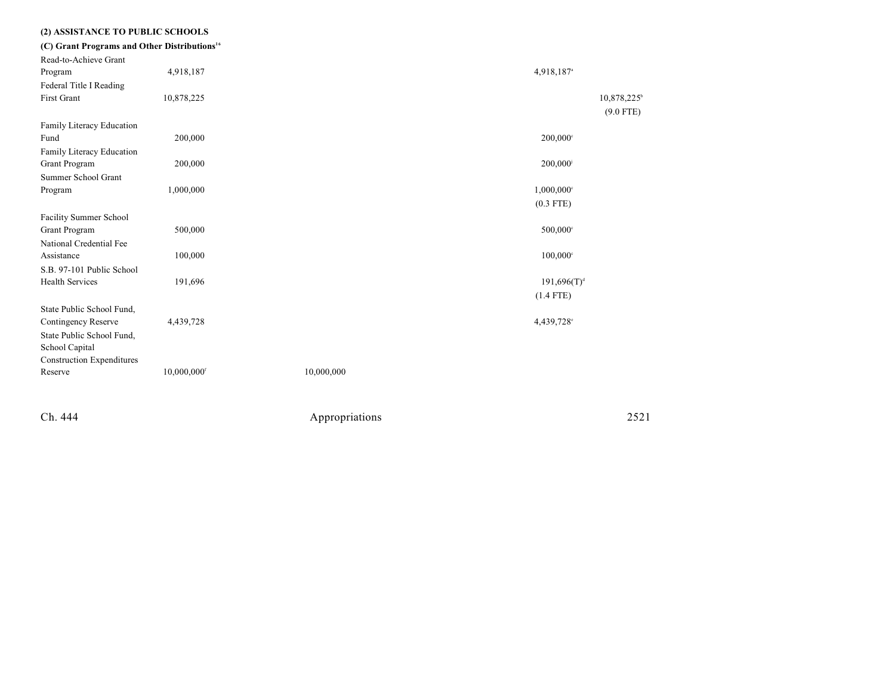| (2) ASSISTANCE TO PUBLIC SCHOOLS                         |                         |            |                          |
|----------------------------------------------------------|-------------------------|------------|--------------------------|
| (C) Grant Programs and Other Distributions <sup>16</sup> |                         |            |                          |
| Read-to-Achieve Grant                                    |                         |            |                          |
| Program                                                  | 4,918,187               |            | 4,918,187 <sup>a</sup>   |
| Federal Title I Reading                                  |                         |            |                          |
| <b>First Grant</b>                                       | 10,878,225              |            | 10,878,225               |
|                                                          |                         |            | $(9.0$ FTE)              |
| Family Literacy Education                                |                         |            |                          |
| Fund                                                     | 200,000                 |            | 200,000°                 |
| Family Literacy Education                                |                         |            |                          |
| Grant Program                                            | 200,000                 |            | 200,000                  |
| Summer School Grant                                      |                         |            |                          |
| Program                                                  | 1,000,000               |            | $1,000,000$ <sup>c</sup> |
|                                                          |                         |            | $(0.3$ FTE)              |
| Facility Summer School                                   |                         |            |                          |
| Grant Program                                            | 500,000                 |            | 500,000°                 |
| National Credential Fee                                  |                         |            |                          |
| Assistance                                               | 100,000                 |            | $100,000$ °              |
| S.B. 97-101 Public School                                |                         |            |                          |
| <b>Health Services</b>                                   | 191,696                 |            | $191,696(T)^{d}$         |
|                                                          |                         |            | $(1.4$ FTE)              |
| State Public School Fund,                                |                         |            |                          |
| Contingency Reserve                                      | 4,439,728               |            | 4,439,728 <sup>c</sup>   |
| State Public School Fund,                                |                         |            |                          |
| School Capital                                           |                         |            |                          |
| <b>Construction Expenditures</b>                         |                         |            |                          |
| Reserve                                                  | 10,000,000 <sup>f</sup> | 10,000,000 |                          |
|                                                          |                         |            |                          |
|                                                          |                         |            |                          |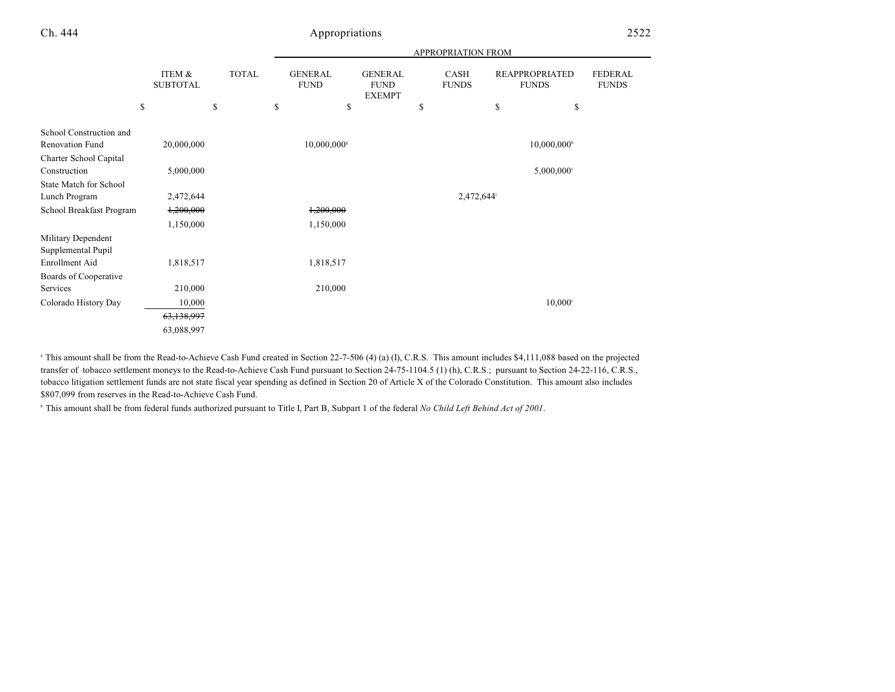|                                            |                           |              | <b>APPROPRIATION FROM</b> |                               |    |                                                |    |                      |                                       |                                |
|--------------------------------------------|---------------------------|--------------|---------------------------|-------------------------------|----|------------------------------------------------|----|----------------------|---------------------------------------|--------------------------------|
|                                            | ITEM &<br><b>SUBTOTAL</b> | <b>TOTAL</b> |                           | <b>GENERAL</b><br><b>FUND</b> |    | <b>GENERAL</b><br><b>FUND</b><br><b>EXEMPT</b> |    | CASH<br><b>FUNDS</b> | <b>REAPPROPRIATED</b><br><b>FUNDS</b> | <b>FEDERAL</b><br><b>FUNDS</b> |
|                                            | \$                        | \$           | \$                        |                               | \$ |                                                | \$ |                      | \$<br>\$                              |                                |
| School Construction and<br>Renovation Fund | 20,000,000                |              |                           | $10,000,000$ <sup>s</sup>     |    |                                                |    |                      | $10,000,000$ <sup>h</sup>             |                                |
| Charter School Capital<br>Construction     | 5,000,000                 |              |                           |                               |    |                                                |    |                      | $5,000,000$ <sup>c</sup>              |                                |
| <b>State Match for School</b>              |                           |              |                           |                               |    |                                                |    |                      |                                       |                                |
| Lunch Program                              | 2,472,644                 |              |                           |                               |    |                                                |    | 2,472,644            |                                       |                                |
| School Breakfast Program                   | 1,200,000                 |              |                           | 1,200,000                     |    |                                                |    |                      |                                       |                                |
|                                            | 1,150,000                 |              |                           | 1,150,000                     |    |                                                |    |                      |                                       |                                |
| Military Dependent<br>Supplemental Pupil   |                           |              |                           |                               |    |                                                |    |                      |                                       |                                |
| Enrollment Aid                             | 1,818,517                 |              |                           | 1,818,517                     |    |                                                |    |                      |                                       |                                |
| Boards of Cooperative                      |                           |              |                           |                               |    |                                                |    |                      |                                       |                                |
| Services                                   | 210,000                   |              |                           | 210,000                       |    |                                                |    |                      |                                       |                                |
| Colorado History Day                       | 10,000                    |              |                           |                               |    |                                                |    |                      | $10,000$ <sup>c</sup>                 |                                |
|                                            | 63,138,997                |              |                           |                               |    |                                                |    |                      |                                       |                                |
|                                            | 63,088,997                |              |                           |                               |    |                                                |    |                      |                                       |                                |

<sup>a</sup> This amount shall be from the Read-to-Achieve Cash Fund created in Section 22-7-506 (4) (a) (I), C.R.S. This amount includes \$4,111,088 based on the projected transfer of tobacco settlement moneys to the Read-to-Achieve Cash Fund pursuant to Section 24-75-1104.5 (1) (h), C.R.S.; pursuant to Section 24-22-116, C.R.S., tobacco litigation settlement funds are not state fiscal year spending as defined in Section 20 of Article X of the Colorado Constitution. This amount also includes \$807,099 from reserves in the Read-to-Achieve Cash Fund.

<sup>h</sup> This amount shall be from federal funds authorized pursuant to Title I, Part B, Subpart 1 of the federal *No Child Left Behind Act of 2001*.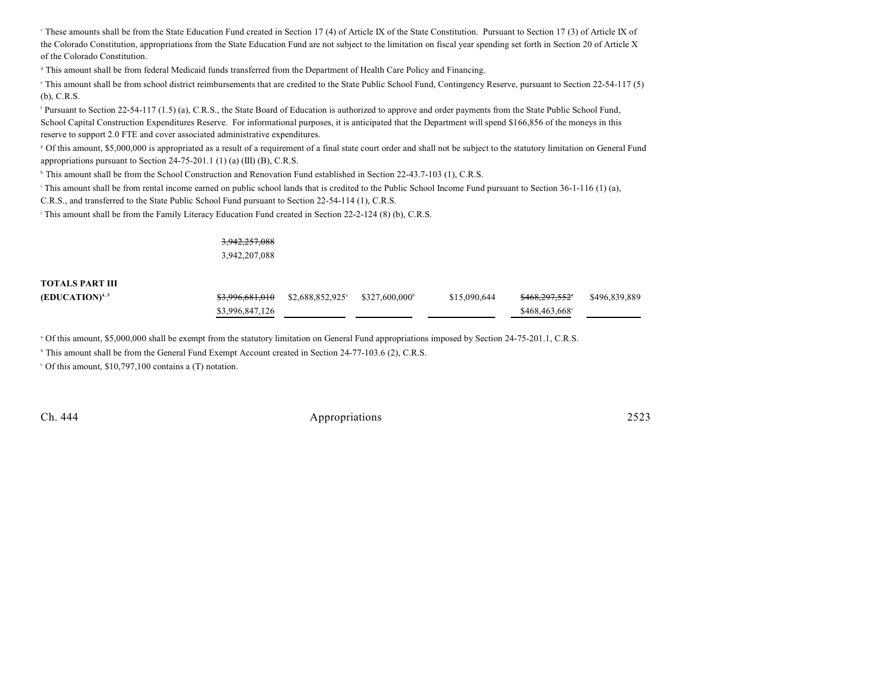<sup>e</sup> These amounts shall be from the State Education Fund created in Section 17 (4) of Article IX of the State Constitution. Pursuant to Section 17 (3) of Article IX of the Colorado Constitution, appropriations from the State Education Fund are not subject to the limitation on fiscal year spending set forth in Section 20 of Article X of the Colorado Constitution.

<sup>d</sup> This amount shall be from federal Medicaid funds transferred from the Department of Health Care Policy and Financing.

<sup>e</sup> This amount shall be from school district reimbursements that are credited to the State Public School Fund, Contingency Reserve, pursuant to Section 22-54-117 (5) (b), C.R.S.

<sup>f</sup> Pursuant to Section 22-54-117 (1.5) (a), C.R.S., the State Board of Education is authorized to approve and order payments from the State Public School Fund, School Capital Construction Expenditures Reserve. For informational purposes, it is anticipated that the Department will spend \$166,856 of the moneys in this reserve to support 2.0 FTE and cover associated administrative expenditures.

 Of this amount, \$5,000,000 is appropriated as a result of a requirement of a final state court order and shall not be subject to the statutory limitation on General Fund <sup>g</sup> appropriations pursuant to Section 24-75-201.1 (1) (a) (III) (B), C.R.S.

<sup>h</sup> This amount shall be from the School Construction and Renovation Fund established in Section 22-43.7-103 (1), C.R.S.

<sup> $\pm$ </sup>This amount shall be from rental income earned on public school lands that is credited to the Public School Income Fund pursuant to Section 36-1-116 (1) (a),

C.R.S., and transferred to the State Public School Fund pursuant to Section 22-54-114 (1), C.R.S.

This amount shall be from the Family Literacy Education Fund created in Section  $22-2-124$  (8) (b), C.R.S.

3,942,257,088 3,942,207,088

#### **TOTALS PART III**

| (EDUCATION) <sup>4, 5</sup> |                 | $$3,996,681,010$ $$2,688,852,925^\circ$ $$327,600,000^\circ$ | \$15,090,644 | <del>\$468.297.552</del> ° | \$496,839,889 |
|-----------------------------|-----------------|--------------------------------------------------------------|--------------|----------------------------|---------------|
|                             | \$3,996,847,126 |                                                              |              | \$468,463,668°             |               |

<sup>a</sup> Of this amount, \$5,000,000 shall be exempt from the statutory limitation on General Fund appropriations imposed by Section 24-75-201.1, C.R.S.

<sup>b</sup> This amount shall be from the General Fund Exempt Account created in Section 24-77-103.6 (2), C.R.S.

 $\degree$  Of this amount, \$10,797,100 contains a (T) notation.